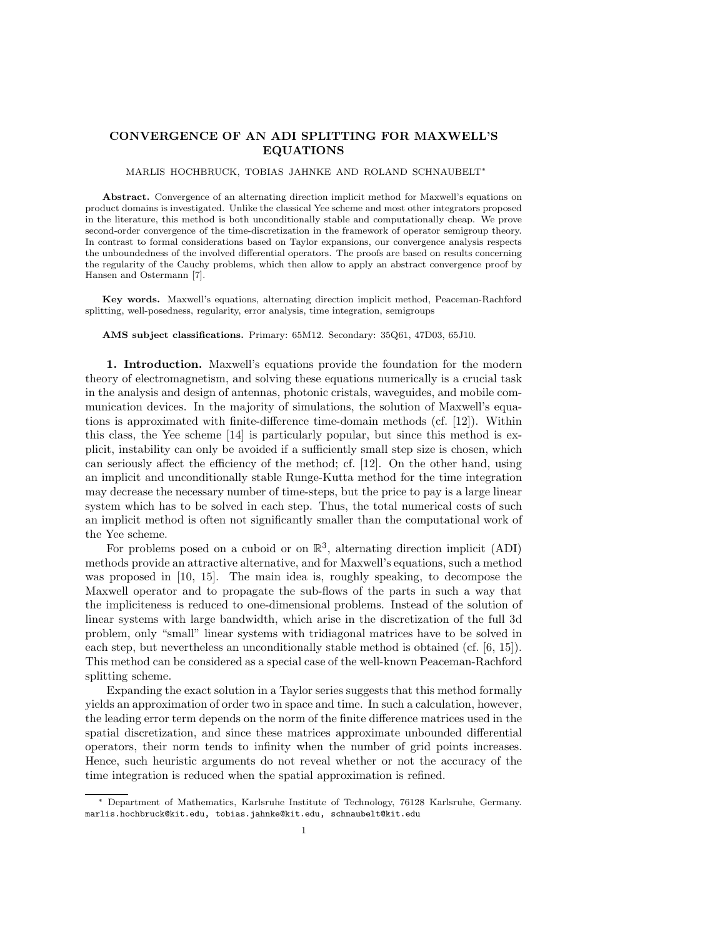## CONVERGENCE OF AN ADI SPLITTING FOR MAXWELL'S EQUATIONS

## MARLIS HOCHBRUCK, TOBIAS JAHNKE AND ROLAND SCHNAUBELT<sup>∗</sup>

Abstract. Convergence of an alternating direction implicit method for Maxwell's equations on product domains is investigated. Unlike the classical Yee scheme and most other integrators proposed in the literature, this method is both unconditionally stable and computationally cheap. We prove second-order convergence of the time-discretization in the framework of operator semigroup theory. In contrast to formal considerations based on Taylor expansions, our convergence analysis respects the unboundedness of the involved differential operators. The proofs are based on results concerning the regularity of the Cauchy problems, which then allow to apply an abstract convergence proof by Hansen and Ostermann [7].

Key words. Maxwell's equations, alternating direction implicit method, Peaceman-Rachford splitting, well-posedness, regularity, error analysis, time integration, semigroups

AMS subject classifications. Primary: 65M12. Secondary: 35Q61, 47D03, 65J10.

1. Introduction. Maxwell's equations provide the foundation for the modern theory of electromagnetism, and solving these equations numerically is a crucial task in the analysis and design of antennas, photonic cristals, waveguides, and mobile communication devices. In the majority of simulations, the solution of Maxwell's equations is approximated with finite-difference time-domain methods (cf. [12]). Within this class, the Yee scheme [14] is particularly popular, but since this method is explicit, instability can only be avoided if a sufficiently small step size is chosen, which can seriously affect the efficiency of the method; cf. [12]. On the other hand, using an implicit and unconditionally stable Runge-Kutta method for the time integration may decrease the necessary number of time-steps, but the price to pay is a large linear system which has to be solved in each step. Thus, the total numerical costs of such an implicit method is often not significantly smaller than the computational work of the Yee scheme.

For problems posed on a cuboid or on  $\mathbb{R}^3$ , alternating direction implicit (ADI) methods provide an attractive alternative, and for Maxwell's equations, such a method was proposed in [10, 15]. The main idea is, roughly speaking, to decompose the Maxwell operator and to propagate the sub-flows of the parts in such a way that the impliciteness is reduced to one-dimensional problems. Instead of the solution of linear systems with large bandwidth, which arise in the discretization of the full 3d problem, only "small" linear systems with tridiagonal matrices have to be solved in each step, but nevertheless an unconditionally stable method is obtained (cf. [6, 15]). This method can be considered as a special case of the well-known Peaceman-Rachford splitting scheme.

Expanding the exact solution in a Taylor series suggests that this method formally yields an approximation of order two in space and time. In such a calculation, however, the leading error term depends on the norm of the finite difference matrices used in the spatial discretization, and since these matrices approximate unbounded differential operators, their norm tends to infinity when the number of grid points increases. Hence, such heuristic arguments do not reveal whether or not the accuracy of the time integration is reduced when the spatial approximation is refined.

<sup>∗</sup> Department of Mathematics, Karlsruhe Institute of Technology, 76128 Karlsruhe, Germany. marlis.hochbruck@kit.edu, tobias.jahnke@kit.edu, schnaubelt@kit.edu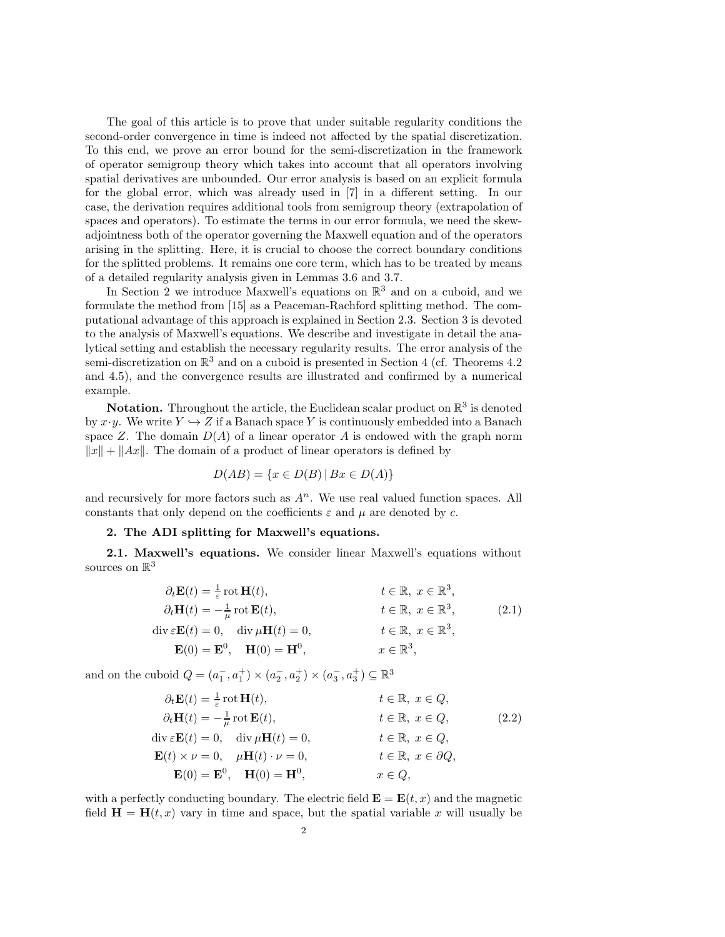The goal of this article is to prove that under suitable regularity conditions the second-order convergence in time is indeed not affected by the spatial discretization. To this end, we prove an error bound for the semi-discretization in the framework of operator semigroup theory which takes into account that all operators involving spatial derivatives are unbounded. Our error analysis is based on an explicit formula for the global error, which was already used in [7] in a different setting. In our case, the derivation requires additional tools from semigroup theory (extrapolation of spaces and operators). To estimate the terms in our error formula, we need the skewadjointness both of the operator governing the Maxwell equation and of the operators arising in the splitting. Here, it is crucial to choose the correct boundary conditions for the splitted problems. It remains one core term, which has to be treated by means of a detailed regularity analysis given in Lemmas 3.6 and 3.7.

In Section 2 we introduce Maxwell's equations on  $\mathbb{R}^3$  and on a cuboid, and we formulate the method from [15] as a Peaceman-Rachford splitting method. The computational advantage of this approach is explained in Section 2.3. Section 3 is devoted to the analysis of Maxwell's equations. We describe and investigate in detail the analytical setting and establish the necessary regularity results. The error analysis of the semi-discretization on  $\mathbb{R}^3$  and on a cuboid is presented in Section 4 (cf. Theorems 4.2) and 4.5), and the convergence results are illustrated and confirmed by a numerical example.

**Notation.** Throughout the article, the Euclidean scalar product on  $\mathbb{R}^3$  is denoted by  $x \cdot y$ . We write  $Y \hookrightarrow Z$  if a Banach space Y is continuously embedded into a Banach space Z. The domain  $D(A)$  of a linear operator A is endowed with the graph norm  $||x|| + ||Ax||$ . The domain of a product of linear operators is defined by

$$
D(AB) = \{x \in D(B) \mid Bx \in D(A)\}
$$

and recursively for more factors such as  $A<sup>n</sup>$ . We use real valued function spaces. All constants that only depend on the coefficients  $\varepsilon$  and  $\mu$  are denoted by c.

## 2. The ADI splitting for Maxwell's equations.

2.1. Maxwell's equations. We consider linear Maxwell's equations without sources on  $\mathbb{R}^3$ 

$$
\partial_t \mathbf{E}(t) = \frac{1}{\varepsilon} \operatorname{rot} \mathbf{H}(t), \qquad t \in \mathbb{R}, \ x \in \mathbb{R}^3, \n\partial_t \mathbf{H}(t) = -\frac{1}{\mu} \operatorname{rot} \mathbf{E}(t), \qquad t \in \mathbb{R}, \ x \in \mathbb{R}^3, \n\operatorname{div} \varepsilon \mathbf{E}(t) = 0, \qquad \operatorname{div} \mu \mathbf{H}(t) = 0, \qquad t \in \mathbb{R}, \ x \in \mathbb{R}^3, \n\mathbf{E}(0) = \mathbf{E}^0, \quad \mathbf{H}(0) = \mathbf{H}^0, \qquad x \in \mathbb{R}^3,
$$
\n(2.1)

and on the cuboid  $Q = (a_1^-, a_1^+) \times (a_2^-, a_2^+) \times (a_3^-, a_3^+) \subseteq \mathbb{R}^3$ 

$$
\partial_t \mathbf{E}(t) = \frac{1}{\varepsilon} \operatorname{rot} \mathbf{H}(t), \qquad t \in \mathbb{R}, \ x \in Q, \n\partial_t \mathbf{H}(t) = -\frac{1}{\mu} \operatorname{rot} \mathbf{E}(t), \qquad t \in \mathbb{R}, \ x \in Q, \n\operatorname{div} \varepsilon \mathbf{E}(t) = 0, \qquad \operatorname{div} \mu \mathbf{H}(t) = 0, \qquad t \in \mathbb{R}, \ x \in Q, \n\mathbf{E}(t) \times \nu = 0, \quad \mu \mathbf{H}(t) \cdot \nu = 0, \qquad t \in \mathbb{R}, \ x \in \partial Q, \n\mathbf{E}(0) = \mathbf{E}^0, \quad \mathbf{H}(0) = \mathbf{H}^0, \qquad x \in Q,
$$
\n(2.2)

with a perfectly conducting boundary. The electric field  $\mathbf{E} = \mathbf{E}(t, x)$  and the magnetic field  $\mathbf{H} = \mathbf{H}(t, x)$  vary in time and space, but the spatial variable x will usually be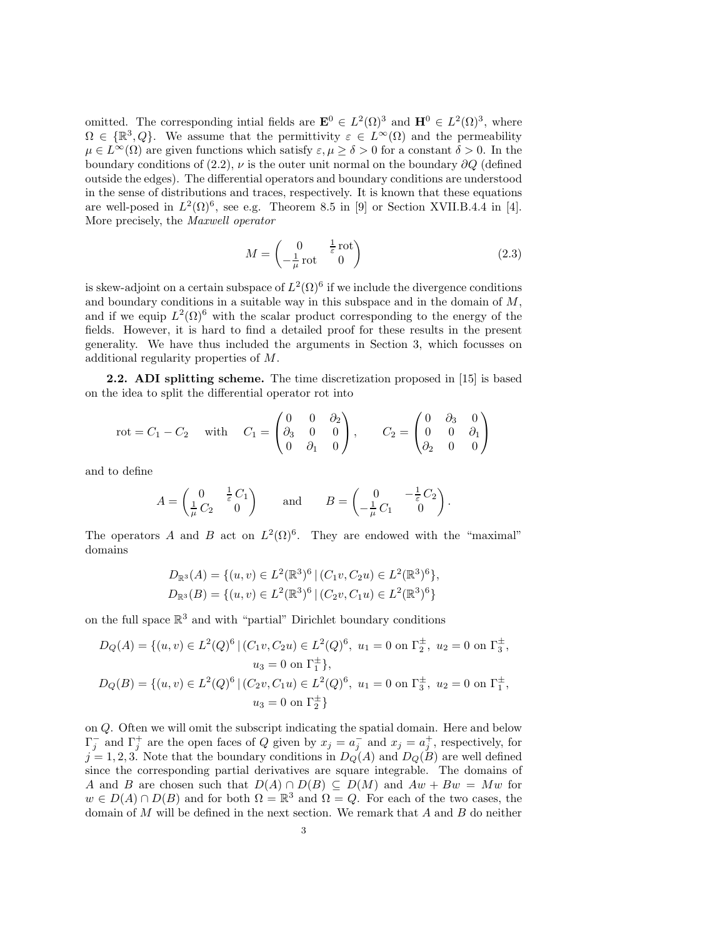omitted. The corresponding intial fields are  $\mathbf{E}^0 \in L^2(\Omega)^3$  and  $\mathbf{H}^0 \in L^2(\Omega)^3$ , where  $\Omega \in \{ \mathbb{R}^3, Q \}$ . We assume that the permittivity  $\varepsilon \in L^{\infty}(\Omega)$  and the permeability  $\mu \in L^{\infty}(\Omega)$  are given functions which satisfy  $\varepsilon, \mu \geq \delta > 0$  for a constant  $\delta > 0$ . In the boundary conditions of (2.2),  $\nu$  is the outer unit normal on the boundary ∂Q (defined outside the edges). The differential operators and boundary conditions are understood in the sense of distributions and traces, respectively. It is known that these equations are well-posed in  $L^2(\Omega)^6$ , see e.g. Theorem 8.5 in [9] or Section XVII.B.4.4 in [4]. More precisely, the Maxwell operator

$$
M = \begin{pmatrix} 0 & \frac{1}{\varepsilon} \operatorname{rot} \\ -\frac{1}{\mu} \operatorname{rot} & 0 \end{pmatrix}
$$
 (2.3)

is skew-adjoint on a certain subspace of  $L^2(\Omega)^6$  if we include the divergence conditions and boundary conditions in a suitable way in this subspace and in the domain of  $M$ , and if we equip  $L^2(\Omega)^6$  with the scalar product corresponding to the energy of the fields. However, it is hard to find a detailed proof for these results in the present generality. We have thus included the arguments in Section 3, which focusses on additional regularity properties of M.

2.2. ADI splitting scheme. The time discretization proposed in [15] is based on the idea to split the differential operator rot into

$$
rot = C_1 - C_2 \quad \text{with} \quad C_1 = \begin{pmatrix} 0 & 0 & \partial_2 \\ \partial_3 & 0 & 0 \\ 0 & \partial_1 & 0 \end{pmatrix}, \quad C_2 = \begin{pmatrix} 0 & \partial_3 & 0 \\ 0 & 0 & \partial_1 \\ \partial_2 & 0 & 0 \end{pmatrix}
$$

and to define

$$
A = \begin{pmatrix} 0 & \frac{1}{\varepsilon} C_1 \\ \frac{1}{\mu} C_2 & 0 \end{pmatrix} \quad \text{and} \quad B = \begin{pmatrix} 0 & -\frac{1}{\varepsilon} C_2 \\ -\frac{1}{\mu} C_1 & 0 \end{pmatrix}.
$$

The operators A and B act on  $L^2(\Omega)^6$ . They are endowed with the "maximal" domains

$$
D_{\mathbb{R}^3}(A) = \{ (u, v) \in L^2(\mathbb{R}^3)^6 \mid (C_1v, C_2u) \in L^2(\mathbb{R}^3)^6 \},
$$
  

$$
D_{\mathbb{R}^3}(B) = \{ (u, v) \in L^2(\mathbb{R}^3)^6 \mid (C_2v, C_1u) \in L^2(\mathbb{R}^3)^6 \}
$$

on the full space  $\mathbb{R}^3$  and with "partial" Dirichlet boundary conditions

$$
D_Q(A) = \{(u, v) \in L^2(Q)^6 \mid (C_1v, C_2u) \in L^2(Q)^6, u_1 = 0 \text{ on } \Gamma_2^{\pm}, u_2 = 0 \text{ on } \Gamma_3^{\pm},
$$
  
\n
$$
u_3 = 0 \text{ on } \Gamma_1^{\pm} \},
$$
  
\n
$$
D_Q(B) = \{(u, v) \in L^2(Q)^6 \mid (C_2v, C_1u) \in L^2(Q)^6, u_1 = 0 \text{ on } \Gamma_3^{\pm}, u_2 = 0 \text{ on } \Gamma_1^{\pm},
$$
  
\n
$$
u_3 = 0 \text{ on } \Gamma_2^{\pm} \}
$$

on Q. Often we will omit the subscript indicating the spatial domain. Here and below  $\Gamma_j^-$  and  $\Gamma_j^+$  are the open faces of Q given by  $x_j = a_j^-$  and  $x_j = a_j^+$ , respectively, for  $j = 1, 2, 3$ . Note that the boundary conditions in  $D_Q(A)$  and  $D_Q(B)$  are well defined since the corresponding partial derivatives are square integrable. The domains of A and B are chosen such that  $D(A) \cap D(B) \subseteq D(M)$  and  $Aw + Bw = Mw$  for  $w \in D(A) \cap D(B)$  and for both  $\Omega = \mathbb{R}^3$  and  $\Omega = Q$ . For each of the two cases, the domain of  $M$  will be defined in the next section. We remark that  $A$  and  $B$  do neither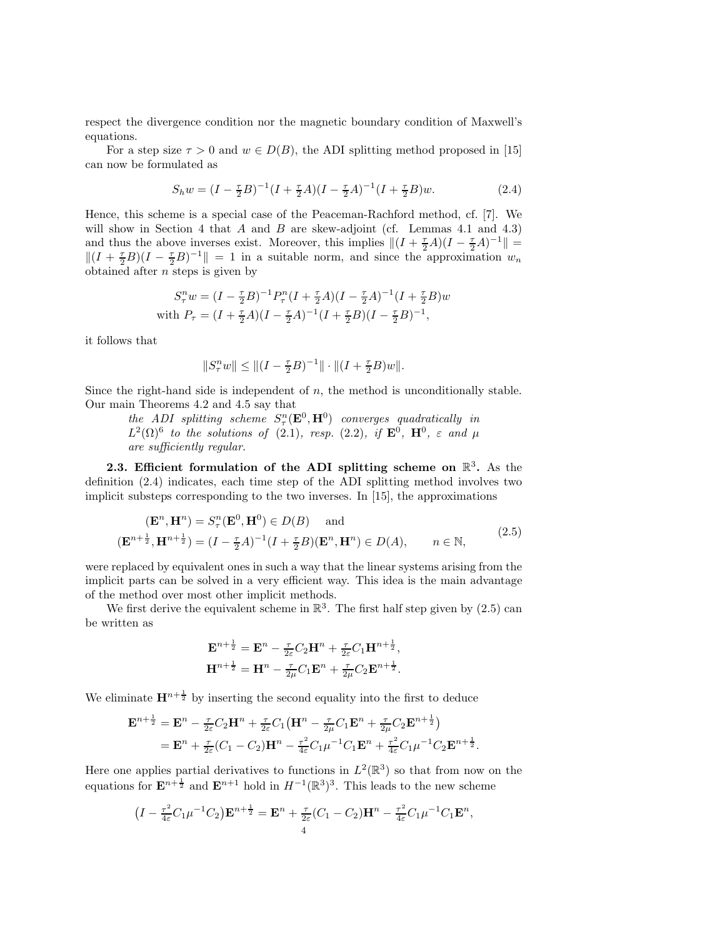respect the divergence condition nor the magnetic boundary condition of Maxwell's equations.

For a step size  $\tau > 0$  and  $w \in D(B)$ , the ADI splitting method proposed in [15] can now be formulated as

$$
S_h w = (I - \frac{\tau}{2}B)^{-1}(I + \frac{\tau}{2}A)(I - \frac{\tau}{2}A)^{-1}(I + \frac{\tau}{2}B)w.
$$
 (2.4)

Hence, this scheme is a special case of the Peaceman-Rachford method, cf. [7]. We will show in Section 4 that  $A$  and  $B$  are skew-adjoint (cf. Lemmas 4.1 and 4.3) and thus the above inverses exist. Moreover, this implies  $||(I + \frac{\tau}{2}A)(I - \frac{\tau}{2}A)^{-1}|| =$  $||(I + \frac{\tau}{2}B)(I - \frac{\tau}{2}B)^{-1}|| = 1$  in a suitable norm, and since the approximation  $w_n$ obtained after  $n$  steps is given by

$$
S_{\tau}^{n}w = (I - \frac{\tau}{2}B)^{-1}P_{\tau}^{n}(I + \frac{\tau}{2}A)(I - \frac{\tau}{2}A)^{-1}(I + \frac{\tau}{2}B)w
$$
  
with  $P_{\tau} = (I + \frac{\tau}{2}A)(I - \frac{\tau}{2}A)^{-1}(I + \frac{\tau}{2}B)(I - \frac{\tau}{2}B)^{-1}$ ,

it follows that

$$
||S_{\tau}^n w|| \le ||(I - \frac{\tau}{2}B)^{-1}|| \cdot ||(I + \frac{\tau}{2}B)w||.
$$

Since the right-hand side is independent of  $n$ , the method is unconditionally stable. Our main Theorems 4.2 and 4.5 say that

 $the \quad ADI \quad splitting \quad scheme \quad S^n_{\tau}(\mathbf{E}^0, \mathbf{H}^0) \quad converges \quad quadratically \quad in$  $L^2(\Omega)^6$  to the solutions of (2.1), resp. (2.2), if  $\mathbf{E}^0$ ,  $\mathbf{H}^0$ ,  $\varepsilon$  and  $\mu$ are sufficiently regular.

2.3. Efficient formulation of the ADI splitting scheme on  $\mathbb{R}^3$ . As the definition (2.4) indicates, each time step of the ADI splitting method involves two implicit substeps corresponding to the two inverses. In [15], the approximations

$$
(\mathbf{E}^n, \mathbf{H}^n) = S_\tau^n(\mathbf{E}^0, \mathbf{H}^0) \in D(B) \text{ and}
$$
  
\n
$$
(\mathbf{E}^{n+\frac{1}{2}}, \mathbf{H}^{n+\frac{1}{2}}) = (I - \frac{\tau}{2}A)^{-1}(I + \frac{\tau}{2}B)(\mathbf{E}^n, \mathbf{H}^n) \in D(A), \qquad n \in \mathbb{N},
$$
\n(2.5)

were replaced by equivalent ones in such a way that the linear systems arising from the implicit parts can be solved in a very efficient way. This idea is the main advantage of the method over most other implicit methods.

We first derive the equivalent scheme in  $\mathbb{R}^3$ . The first half step given by (2.5) can be written as

$$
\mathbf{E}^{n+\frac{1}{2}} = \mathbf{E}^n - \frac{\tau}{2\varepsilon} C_2 \mathbf{H}^n + \frac{\tau}{2\varepsilon} C_1 \mathbf{H}^{n+\frac{1}{2}},
$$
  

$$
\mathbf{H}^{n+\frac{1}{2}} = \mathbf{H}^n - \frac{\tau}{2\mu} C_1 \mathbf{E}^n + \frac{\tau}{2\mu} C_2 \mathbf{E}^{n+\frac{1}{2}}.
$$

We eliminate  $\mathbf{H}^{n+\frac{1}{2}}$  by inserting the second equality into the first to deduce

$$
\mathbf{E}^{n+\frac{1}{2}} = \mathbf{E}^n - \frac{\tau}{2\varepsilon} C_2 \mathbf{H}^n + \frac{\tau}{2\varepsilon} C_1 (\mathbf{H}^n - \frac{\tau}{2\mu} C_1 \mathbf{E}^n + \frac{\tau}{2\mu} C_2 \mathbf{E}^{n+\frac{1}{2}}) \n= \mathbf{E}^n + \frac{\tau}{2\varepsilon} (C_1 - C_2) \mathbf{H}^n - \frac{\tau^2}{4\varepsilon} C_1 \mu^{-1} C_1 \mathbf{E}^n + \frac{\tau^2}{4\varepsilon} C_1 \mu^{-1} C_2 \mathbf{E}^{n+\frac{1}{2}}.
$$

Here one applies partial derivatives to functions in  $L^2(\mathbb{R}^3)$  so that from now on the equations for  $\mathbf{E}^{n+\frac{1}{2}}$  and  $\mathbf{E}^{n+1}$  hold in  $H^{-1}(\mathbb{R}^3)^3$ . This leads to the new scheme

$$
(I - \frac{\tau^2}{4\varepsilon}C_1\mu^{-1}C_2)\mathbf{E}^{n+\frac{1}{2}} = \mathbf{E}^n + \frac{\tau}{2\varepsilon}(C_1 - C_2)\mathbf{H}^n - \frac{\tau^2}{4\varepsilon}C_1\mu^{-1}C_1\mathbf{E}^n,
$$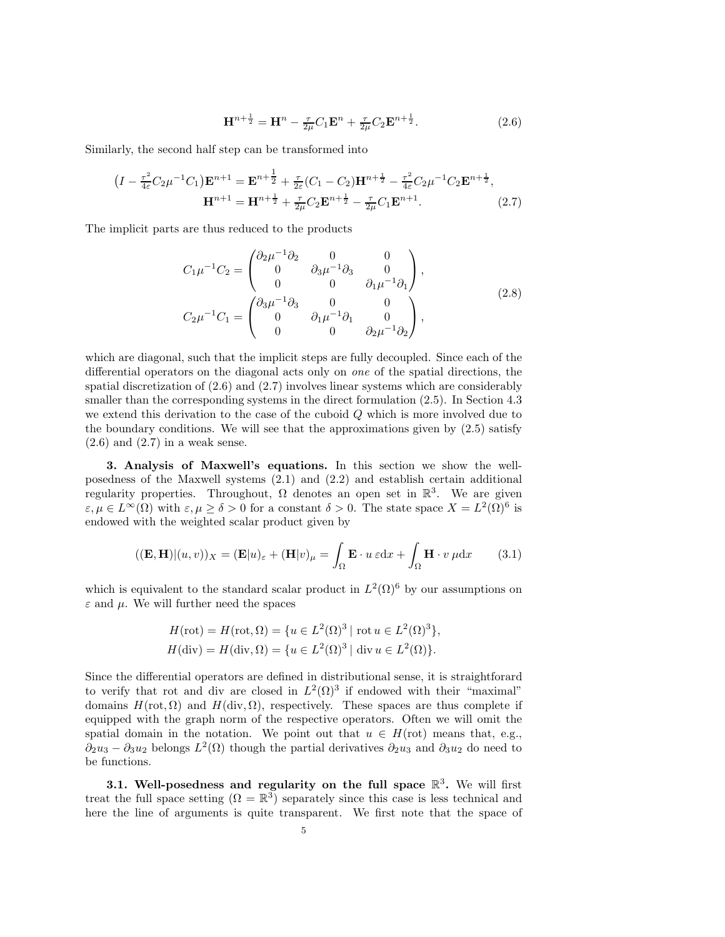$$
\mathbf{H}^{n+\frac{1}{2}} = \mathbf{H}^n - \frac{\tau}{2\mu} C_1 \mathbf{E}^n + \frac{\tau}{2\mu} C_2 \mathbf{E}^{n+\frac{1}{2}}.
$$
 (2.6)

Similarly, the second half step can be transformed into

$$
(I - \frac{\tau^2}{4\varepsilon} C_2 \mu^{-1} C_1) \mathbf{E}^{n+1} = \mathbf{E}^{n+\frac{1}{2}} + \frac{\tau}{2\varepsilon} (C_1 - C_2) \mathbf{H}^{n+\frac{1}{2}} - \frac{\tau^2}{4\varepsilon} C_2 \mu^{-1} C_2 \mathbf{E}^{n+\frac{1}{2}},
$$
  

$$
\mathbf{H}^{n+1} = \mathbf{H}^{n+\frac{1}{2}} + \frac{\tau}{2\mu} C_2 \mathbf{E}^{n+\frac{1}{2}} - \frac{\tau}{2\mu} C_1 \mathbf{E}^{n+1}.
$$
 (2.7)

The implicit parts are thus reduced to the products

$$
C_1\mu^{-1}C_2 = \begin{pmatrix} \partial_2\mu^{-1}\partial_2 & 0 & 0 \\ 0 & \partial_3\mu^{-1}\partial_3 & 0 \\ 0 & 0 & \partial_1\mu^{-1}\partial_1 \end{pmatrix},
$$
  
\n
$$
C_2\mu^{-1}C_1 = \begin{pmatrix} \partial_3\mu^{-1}\partial_3 & 0 & 0 \\ 0 & \partial_1\mu^{-1}\partial_1 & 0 \\ 0 & 0 & \partial_2\mu^{-1}\partial_2 \end{pmatrix},
$$
\n(2.8)

which are diagonal, such that the implicit steps are fully decoupled. Since each of the differential operators on the diagonal acts only on one of the spatial directions, the spatial discretization of (2.6) and (2.7) involves linear systems which are considerably smaller than the corresponding systems in the direct formulation (2.5). In Section 4.3 we extend this derivation to the case of the cuboid Q which is more involved due to the boundary conditions. We will see that the approximations given by  $(2.5)$  satisfy  $(2.6)$  and  $(2.7)$  in a weak sense.

3. Analysis of Maxwell's equations. In this section we show the wellposedness of the Maxwell systems (2.1) and (2.2) and establish certain additional regularity properties. Throughout,  $\Omega$  denotes an open set in  $\mathbb{R}^3$ . We are given  $\varepsilon, \mu \in L^{\infty}(\Omega)$  with  $\varepsilon, \mu \ge \delta > 0$  for a constant  $\delta > 0$ . The state space  $X = L^{2}(\Omega)^{6}$  is endowed with the weighted scalar product given by

$$
((\mathbf{E}, \mathbf{H})|(u, v))_X = (\mathbf{E}|u)_{\varepsilon} + (\mathbf{H}|v)_{\mu} = \int_{\Omega} \mathbf{E} \cdot u \, \varepsilon \mathrm{d}x + \int_{\Omega} \mathbf{H} \cdot v \, \mu \mathrm{d}x \qquad (3.1)
$$

which is equivalent to the standard scalar product in  $L^2(\Omega)^6$  by our assumptions on  $\varepsilon$  and  $\mu$ . We will further need the spaces

$$
H(\text{rot}) = H(\text{rot}, \Omega) = \{u \in L^2(\Omega)^3 \mid \text{rot } u \in L^2(\Omega)^3\},
$$
  

$$
H(\text{div}) = H(\text{div}, \Omega) = \{u \in L^2(\Omega)^3 \mid \text{div } u \in L^2(\Omega)\}.
$$

Since the differential operators are defined in distributional sense, it is straightforard to verify that rot and div are closed in  $L^2(\Omega)^3$  if endowed with their "maximal" domains  $H(\text{rot}, \Omega)$  and  $H(\text{div}, \Omega)$ , respectively. These spaces are thus complete if equipped with the graph norm of the respective operators. Often we will omit the spatial domain in the notation. We point out that  $u \in H(\text{rot})$  means that, e.g.,  $\partial_2 u_3 - \partial_3 u_2$  belongs  $L^2(\Omega)$  though the partial derivatives  $\partial_2 u_3$  and  $\partial_3 u_2$  do need to be functions.

3.1. Well-posedness and regularity on the full space  $\mathbb{R}^3$ . We will first treat the full space setting  $(\Omega = \mathbb{R}^3)$  separately since this case is less technical and here the line of arguments is quite transparent. We first note that the space of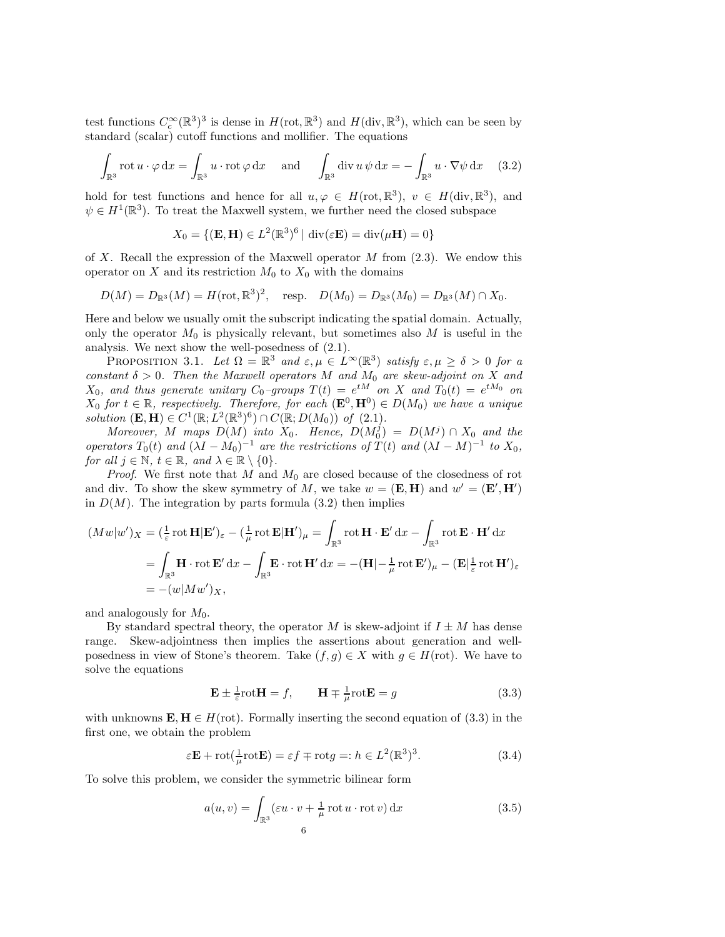test functions  $C_c^{\infty}(\mathbb{R}^3)^3$  is dense in  $H(\text{rot}, \mathbb{R}^3)$  and  $H(\text{div}, \mathbb{R}^3)$ , which can be seen by standard (scalar) cutoff functions and mollifier. The equations

$$
\int_{\mathbb{R}^3} \operatorname{rot} u \cdot \varphi \, dx = \int_{\mathbb{R}^3} u \cdot \operatorname{rot} \varphi \, dx \quad \text{and} \quad \int_{\mathbb{R}^3} \operatorname{div} u \, \psi \, dx = - \int_{\mathbb{R}^3} u \cdot \nabla \psi \, dx \quad (3.2)
$$

hold for test functions and hence for all  $u, \varphi \in H(\text{rot}, \mathbb{R}^3)$ ,  $v \in H(\text{div}, \mathbb{R}^3)$ , and  $\psi \in H^1(\mathbb{R}^3)$ . To treat the Maxwell system, we further need the closed subspace

$$
X_0 = \{ (\mathbf{E}, \mathbf{H}) \in L^2(\mathbb{R}^3)^6 \mid \text{div}(\varepsilon \mathbf{E}) = \text{div}(\mu \mathbf{H}) = 0 \}
$$

of X. Recall the expression of the Maxwell operator  $M$  from  $(2.3)$ . We endow this operator on X and its restriction  $M_0$  to  $X_0$  with the domains

 $D(M) = D_{\mathbb{R}^3}(M) = H(\text{rot}, \mathbb{R}^3)^2$ , resp.  $D(M_0) = D_{\mathbb{R}^3}(M_0) = D_{\mathbb{R}^3}(M) \cap X_0$ .

Here and below we usually omit the subscript indicating the spatial domain. Actually, only the operator  $M_0$  is physically relevant, but sometimes also M is useful in the analysis. We next show the well-posedness of (2.1).

PROPOSITION 3.1. Let  $\Omega = \mathbb{R}^3$  and  $\varepsilon, \mu \in L^\infty(\mathbb{R}^3)$  satisfy  $\varepsilon, \mu \ge \delta > 0$  for a constant  $\delta > 0$ . Then the Maxwell operators M and  $M_0$  are skew-adjoint on X and  $X_0$ , and thus generate unitary  $C_0$ -groups  $T(t) = e^{tM}$  on X and  $T_0(t) = e^{tM_0}$  on  $X_0$  for  $t \in \mathbb{R}$ , respectively. Therefore, for each  $(\mathbf{E}^0, \mathbf{H}^0) \in D(M_0)$  we have a unique solution  $(\mathbf{E}, \mathbf{H}) \in C^1(\mathbb{R}; L^2(\mathbb{R}^3)^6) \cap C(\mathbb{R}; D(M_0))$  of  $(2.1)$ .

Moreover, M maps  $D(M)$  into  $X_0$ . Hence,  $D(M_0^j) = D(M^j) \cap X_0$  and the operators  $T_0(t)$  and  $(\lambda I - M_0)^{-1}$  are the restrictions of  $T(t)$  and  $(\lambda I - M)^{-1}$  to  $X_0$ , for all  $j \in \mathbb{N}$ ,  $t \in \mathbb{R}$ , and  $\lambda \in \mathbb{R} \setminus \{0\}$ .

*Proof.* We first note that  $M$  and  $M_0$  are closed because of the closedness of rot and div. To show the skew symmetry of M, we take  $w = (\mathbf{E}, \mathbf{H})$  and  $w' = (\mathbf{E}', \mathbf{H}')$ in  $D(M)$ . The integration by parts formula (3.2) then implies

$$
(Mw|w')_X = (\frac{1}{\varepsilon} \operatorname{rot} \mathbf{H}|\mathbf{E}')_\varepsilon - (\frac{1}{\mu} \operatorname{rot} \mathbf{E}|\mathbf{H}')_\mu = \int_{\mathbb{R}^3} \operatorname{rot} \mathbf{H} \cdot \mathbf{E}' \, dx - \int_{\mathbb{R}^3} \operatorname{rot} \mathbf{E} \cdot \mathbf{H}' \, dx
$$

$$
= \int_{\mathbb{R}^3} \mathbf{H} \cdot \operatorname{rot} \mathbf{E}' \, dx - \int_{\mathbb{R}^3} \mathbf{E} \cdot \operatorname{rot} \mathbf{H}' \, dx = -(\mathbf{H}| - \frac{1}{\mu} \operatorname{rot} \mathbf{E}')_\mu - (\mathbf{E}| \frac{1}{\varepsilon} \operatorname{rot} \mathbf{H}')_\varepsilon
$$

$$
= -(w|Mw')_X,
$$

and analogously for  $M_0$ .

By standard spectral theory, the operator M is skew-adjoint if  $I \pm M$  has dense range. Skew-adjointness then implies the assertions about generation and wellposedness in view of Stone's theorem. Take  $(f, g) \in X$  with  $g \in H(\text{rot})$ . We have to solve the equations

$$
\mathbf{E} \pm \frac{1}{\varepsilon} \text{rot} \mathbf{H} = f, \qquad \mathbf{H} \mp \frac{1}{\mu} \text{rot} \mathbf{E} = g \tag{3.3}
$$

with unknowns  $\mathbf{E}, \mathbf{H} \in H(\text{rot})$ . Formally inserting the second equation of (3.3) in the first one, we obtain the problem

$$
\varepsilon \mathbf{E} + \mathrm{rot}(\frac{1}{\mu}\mathrm{rot}\mathbf{E}) = \varepsilon f \mp \mathrm{rot}g =: h \in L^{2}(\mathbb{R}^{3})^{3}.
$$
 (3.4)

To solve this problem, we consider the symmetric bilinear form

$$
a(u,v) = \int_{\mathbb{R}^3} (\varepsilon u \cdot v + \frac{1}{\mu} \operatorname{rot} u \cdot \operatorname{rot} v) dx
$$
 (3.5)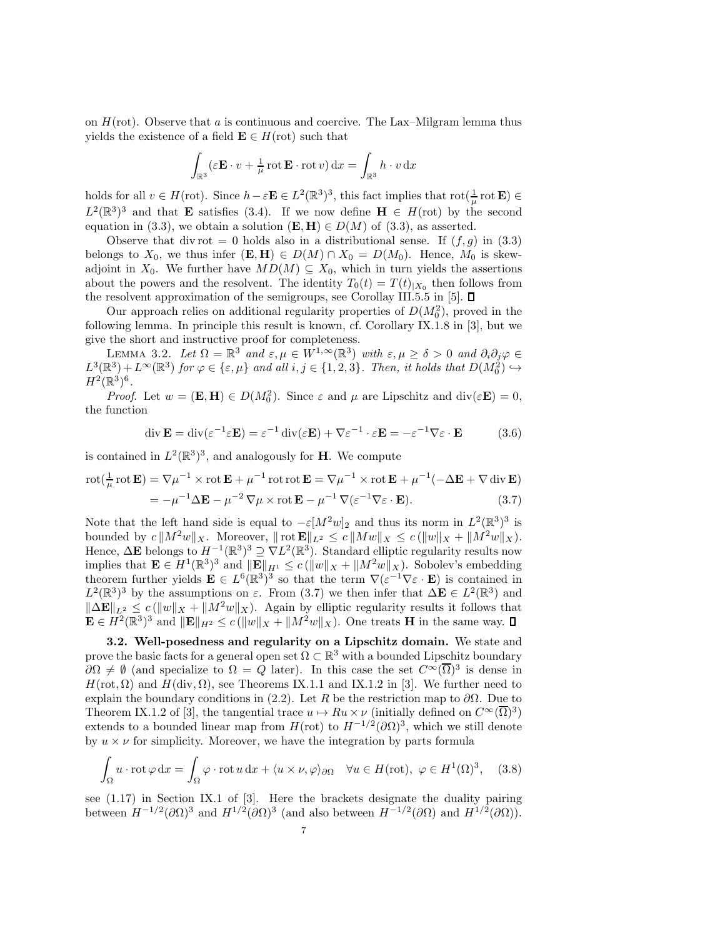on  $H(\text{rot})$ . Observe that a is continuous and coercive. The Lax–Milgram lemma thus yields the existence of a field  $\mathbf{E} \in H(\text{rot})$  such that

$$
\int_{\mathbb{R}^3} (\varepsilon \mathbf{E} \cdot v + \frac{1}{\mu} \operatorname{rot} \mathbf{E} \cdot \operatorname{rot} v) \,dx = \int_{\mathbb{R}^3} h \cdot v \,dx
$$

holds for all  $v \in H(\text{rot})$ . Since  $h - \varepsilon \mathbf{E} \in L^2(\mathbb{R}^3)^3$ , this fact implies that  $\text{rot}(\frac{1}{\mu}\text{rot}\mathbf{E}) \in$  $L^2(\mathbb{R}^3)^3$  and that **E** satisfies (3.4). If we now define **H**  $\in$  H(rot) by the second equation in (3.3), we obtain a solution  $(E, H) \in D(M)$  of (3.3), as asserted.

Observe that div rot = 0 holds also in a distributional sense. If  $(f, g)$  in (3.3) belongs to  $X_0$ , we thus infer  $(\mathbf{E}, \mathbf{H}) \in D(M) \cap X_0 = D(M_0)$ . Hence,  $M_0$  is skewadjoint in  $X_0$ . We further have  $MD(M) \subseteq X_0$ , which in turn yields the assertions about the powers and the resolvent. The identity  $T_0(t) = T(t)|_{X_0}$  then follows from the resolvent approximation of the semigroups, see Corollay III.5.5 in [5].  $\square$ 

Our approach relies on additional regularity properties of  $D(M_0^2)$ , proved in the following lemma. In principle this result is known, cf. Corollary IX.1.8 in [3], but we give the short and instructive proof for completeness.

LEMMA 3.2. Let  $\Omega = \mathbb{R}^3$  and  $\varepsilon, \mu \in W^{1,\infty}(\mathbb{R}^3)$  with  $\varepsilon, \mu \ge \delta > 0$  and  $\partial_i \partial_j \varphi \in \Omega$ .  $L^3(\mathbb{R}^3) + L^\infty(\mathbb{R}^3)$  for  $\varphi \in \{\varepsilon, \mu\}$  and all  $i, j \in \{1, 2, 3\}$ . Then, it holds that  $D(M_0^2) \hookrightarrow$  $H^2(\mathbb{R}^3)^6$ .

*Proof.* Let  $w = (\mathbf{E}, \mathbf{H}) \in D(M_0^2)$ . Since  $\varepsilon$  and  $\mu$  are Lipschitz and div $(\varepsilon \mathbf{E}) = 0$ , the function

$$
\operatorname{div} \mathbf{E} = \operatorname{div}(\varepsilon^{-1} \varepsilon \mathbf{E}) = \varepsilon^{-1} \operatorname{div}(\varepsilon \mathbf{E}) + \nabla \varepsilon^{-1} \cdot \varepsilon \mathbf{E} = -\varepsilon^{-1} \nabla \varepsilon \cdot \mathbf{E}
$$
 (3.6)

is contained in  $L^2(\mathbb{R}^3)^3$ , and analogously for **H**. We compute

 $=$ 

$$
\text{rot}(\frac{1}{\mu}\text{rot}\mathbf{E}) = \nabla\mu^{-1} \times \text{rot}\mathbf{E} + \mu^{-1}\text{rot}\text{rot}\mathbf{E} = \nabla\mu^{-1} \times \text{rot}\mathbf{E} + \mu^{-1}(-\Delta\mathbf{E} + \nabla\,\text{div}\,\mathbf{E})
$$

$$
= -\mu^{-1} \Delta \mathbf{E} - \mu^{-2} \nabla \mu \times \operatorname{rot} \mathbf{E} - \mu^{-1} \nabla (\varepsilon^{-1} \nabla \varepsilon \cdot \mathbf{E}). \tag{3.7}
$$

Note that the left hand side is equal to  $-\varepsilon [M^2w]_2$  and thus its norm in  $L^2(\mathbb{R}^3)^3$  is bounded by  $c \|M^2w\|_X$ . Moreover,  $\|\text{rot } \mathbf{E}\|_{L^2} \leq c \|Mw\|_X \leq c (\|w\|_X + \|M^2w\|_X)$ . Hence,  $\Delta \mathbf{E}$  belongs to  $H^{-1}(\mathbb{R}^3)^3 \supseteq \nabla L^2(\mathbb{R}^3)$ . Standard elliptic regularity results now implies that  $\mathbf{E} \in H^1(\mathbb{R}^3)^3$  and  $||\mathbf{E}||_{H^1} \le c(||w||_X + ||M^2w||_X)$ . Sobolev's embedding theorem further yields  $\mathbf{E} \in L^6(\mathbb{R}^3)^3$  so that the term  $\nabla (\varepsilon^{-1} \nabla \varepsilon \cdot \mathbf{E})$  is contained in  $L^2(\mathbb{R}^3)^3$  by the assumptions on  $\varepsilon$ . From (3.7) we then infer that  $\Delta \mathbf{E} \in L^2(\mathbb{R}^3)$  and  $\|\Delta \mathbf{E}\|_{L^2} \leq c \left(\|w\|_{X} + \|M^2w\|_{X}\right)$ . Again by elliptic regularity results it follows that  $\mathbf{E} \in H^2(\mathbb{R}^3)^3$  and  $\|\mathbf{E}\|_{H^2} \le c \left(\|w\|_X + \|M^2w\|_X\right)$ . One treats **H** in the same way.

3.2. Well-posedness and regularity on a Lipschitz domain. We state and prove the basic facts for a general open set  $\Omega \subset \mathbb{R}^3$  with a bounded Lipschitz boundary  $\partial\Omega \neq \emptyset$  (and specialize to  $\Omega = Q$  later). In this case the set  $C^{\infty}(\overline{\Omega})^3$  is dense in  $H(\text{rot}, \Omega)$  and  $H(\text{div}, \Omega)$ , see Theorems IX.1.1 and IX.1.2 in [3]. We further need to explain the boundary conditions in (2.2). Let R be the restriction map to  $\partial\Omega$ . Due to Theorem IX.1.2 of [3], the tangential trace  $u \mapsto Ru \times \nu$  (initially defined on  $C^{\infty}(\overline{\Omega})^3$ ) extends to a bounded linear map from  $H(\text{rot})$  to  $H^{-1/2}(\partial\Omega)^3$ , which we still denote by  $u \times \nu$  for simplicity. Moreover, we have the integration by parts formula

$$
\int_{\Omega} u \cdot \operatorname{rot} \varphi \, dx = \int_{\Omega} \varphi \cdot \operatorname{rot} u \, dx + \langle u \times \nu, \varphi \rangle_{\partial \Omega} \quad \forall u \in H(\operatorname{rot}), \ \varphi \in H^1(\Omega)^3, \quad (3.8)
$$

see (1.17) in Section IX.1 of [3]. Here the brackets designate the duality pairing between  $H^{-1/2}(\partial\Omega)^3$  and  $H^{1/2}(\partial\Omega)^3$  (and also between  $H^{-1/2}(\partial\Omega)$  and  $H^{1/2}(\partial\Omega)$ ).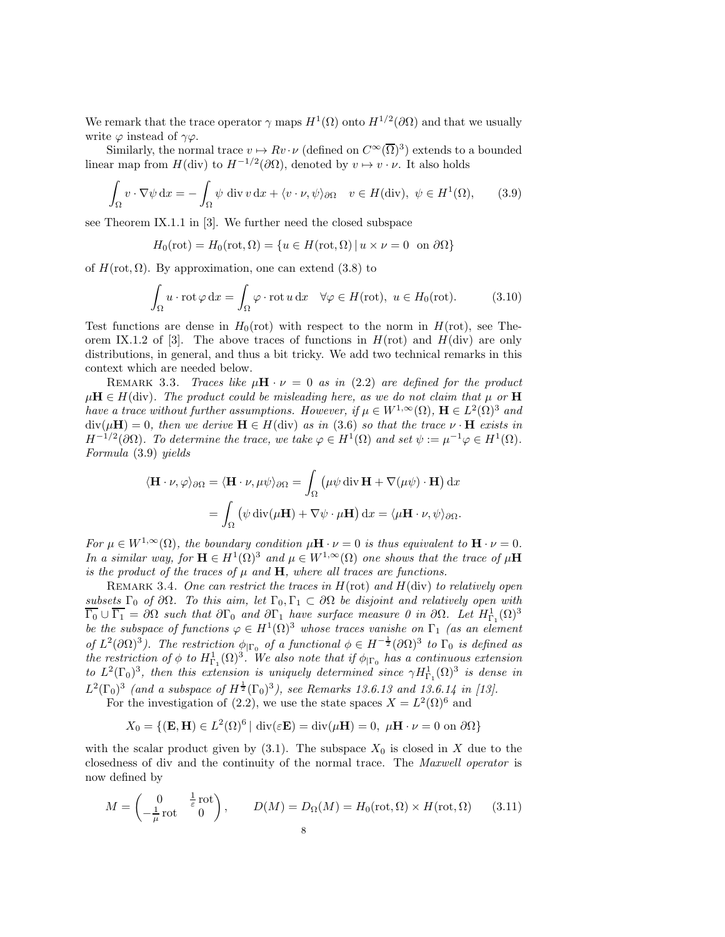We remark that the trace operator  $\gamma$  maps  $H^1(\Omega)$  onto  $H^{1/2}(\partial\Omega)$  and that we usually write  $\varphi$  instead of  $\gamma \varphi$ .

Similarly, the normal trace  $v \mapsto Rv \cdot \nu$  (defined on  $C^{\infty}(\overline{\Omega})^3$ ) extends to a bounded linear map from  $H(\text{div})$  to  $H^{-1/2}(\partial\Omega)$ , denoted by  $v \mapsto v \cdot \nu$ . It also holds

$$
\int_{\Omega} v \cdot \nabla \psi \, \mathrm{d}x = -\int_{\Omega} \psi \, \mathrm{div} \, v \, \mathrm{d}x + \langle v \cdot \nu, \psi \rangle_{\partial \Omega} \quad v \in H(\text{div}), \ \psi \in H^1(\Omega), \tag{3.9}
$$

see Theorem IX.1.1 in [3]. We further need the closed subspace

$$
H_0(\text{rot}) = H_0(\text{rot}, \Omega) = \{ u \in H(\text{rot}, \Omega) \mid u \times \nu = 0 \text{ on } \partial\Omega \}
$$

of  $H(\text{rot}, \Omega)$ . By approximation, one can extend (3.8) to

$$
\int_{\Omega} u \cdot \operatorname{rot} \varphi \, dx = \int_{\Omega} \varphi \cdot \operatorname{rot} u \, dx \quad \forall \varphi \in H(\text{rot}), \ u \in H_0(\text{rot}). \tag{3.10}
$$

Test functions are dense in  $H_0(\text{rot})$  with respect to the norm in  $H(\text{rot})$ , see Theorem IX.1.2 of [3]. The above traces of functions in  $H(\text{rot})$  and  $H(\text{div})$  are only distributions, in general, and thus a bit tricky. We add two technical remarks in this context which are needed below.

REMARK 3.3. Traces like  $\mu H \cdot \nu = 0$  as in (2.2) are defined for the product  $\mu$ **H**  $\in$  H(div). The product could be misleading here, as we do not claim that  $\mu$  or **H** have a trace without further assumptions. However, if  $\mu \in W^{1,\infty}(\Omega)$ ,  $\mathbf{H} \in L^2(\Omega)^3$  and  $div(\mu \mathbf{H}) = 0$ , then we derive  $\mathbf{H} \in H(\text{div})$  as in (3.6) so that the trace  $\nu \cdot \mathbf{H}$  exists in  $H^{-1/2}(\partial\Omega)$ . To determine the trace, we take  $\varphi \in H^1(\Omega)$  and set  $\psi := \mu^{-1} \varphi \in H^1(\Omega)$ . Formula (3.9) yields

$$
\langle \mathbf{H} \cdot \nu, \varphi \rangle_{\partial \Omega} = \langle \mathbf{H} \cdot \nu, \mu \psi \rangle_{\partial \Omega} = \int_{\Omega} \left( \mu \psi \operatorname{div} \mathbf{H} + \nabla(\mu \psi) \cdot \mathbf{H} \right) dx
$$

$$
= \int_{\Omega} \left( \psi \operatorname{div}(\mu \mathbf{H}) + \nabla \psi \cdot \mu \mathbf{H} \right) dx = \langle \mu \mathbf{H} \cdot \nu, \psi \rangle_{\partial \Omega}.
$$

For  $\mu \in W^{1,\infty}(\Omega)$ , the boundary condition  $\mu \mathbf{H} \cdot \nu = 0$  is thus equivalent to  $\mathbf{H} \cdot \nu = 0$ . In a similar way, for  $\mathbf{H} \in H^1(\Omega)^3$  and  $\mu \in W^{1,\infty}(\Omega)$  one shows that the trace of  $\mu\mathbf{H}$ is the product of the traces of  $\mu$  and  $H$ , where all traces are functions.

REMARK 3.4. One can restrict the traces in  $H(\text{rot})$  and  $H(\text{div})$  to relatively open subsets  $\Gamma_0$  of  $\partial\Omega$ . To this aim, let  $\Gamma_0$ ,  $\Gamma_1 \subset \partial\Omega$  be disjoint and relatively open with  $\overline{\Gamma_0} \cup \overline{\Gamma_1} = \partial \Omega$  such that  $\partial \Gamma_0$  and  $\partial \Gamma_1$  have surface measure 0 in  $\partial \Omega$ . Let  $H^1_{\Gamma_1}(\Omega)^3$ be the subspace of functions  $\varphi \in H^1(\Omega)^3$  whose traces vanishe on  $\Gamma_1$  (as an element of  $L^2(\partial\Omega)^3$ ). The restriction  $\phi_{|\Gamma_0}$  of a functional  $\phi \in H^{-\frac{1}{2}}(\partial\Omega)^3$  to  $\Gamma_0$  is defined as the restriction of  $\phi$  to  $H^1_{\Gamma_1}(\Omega)^3$ . We also note that if  $\phi_{|\Gamma_0}$  has a continuous extension to  $L^2(\Gamma_0)^3$ , then this extension is uniquely determined since  $\gamma H_{\Gamma_1}^1(\Omega)^3$  is dense in  $L^2(\Gamma_0)^3$  (and a subspace of  $H^{\frac{1}{2}}(\Gamma_0)^3$ ), see Remarks 13.6.13 and 13.6.14 in [13].

For the investigation of (2.2), we use the state spaces  $X = L^2(\Omega)^6$  and

$$
X_0 = \{ (\mathbf{E}, \mathbf{H}) \in L^2(\Omega)^6 \mid \text{div}(\varepsilon \mathbf{E}) = \text{div}(\mu \mathbf{H}) = 0, \ \mu \mathbf{H} \cdot \nu = 0 \text{ on } \partial \Omega \}
$$

with the scalar product given by  $(3.1)$ . The subspace  $X_0$  is closed in X due to the closedness of div and the continuity of the normal trace. The Maxwell operator is now defined by

$$
M = \begin{pmatrix} 0 & \frac{1}{\varepsilon} \operatorname{rot} \\ -\frac{1}{\mu} \operatorname{rot} & 0 \end{pmatrix}, \qquad D(M) = D_{\Omega}(M) = H_0(\operatorname{rot}, \Omega) \times H(\operatorname{rot}, \Omega) \qquad (3.11)
$$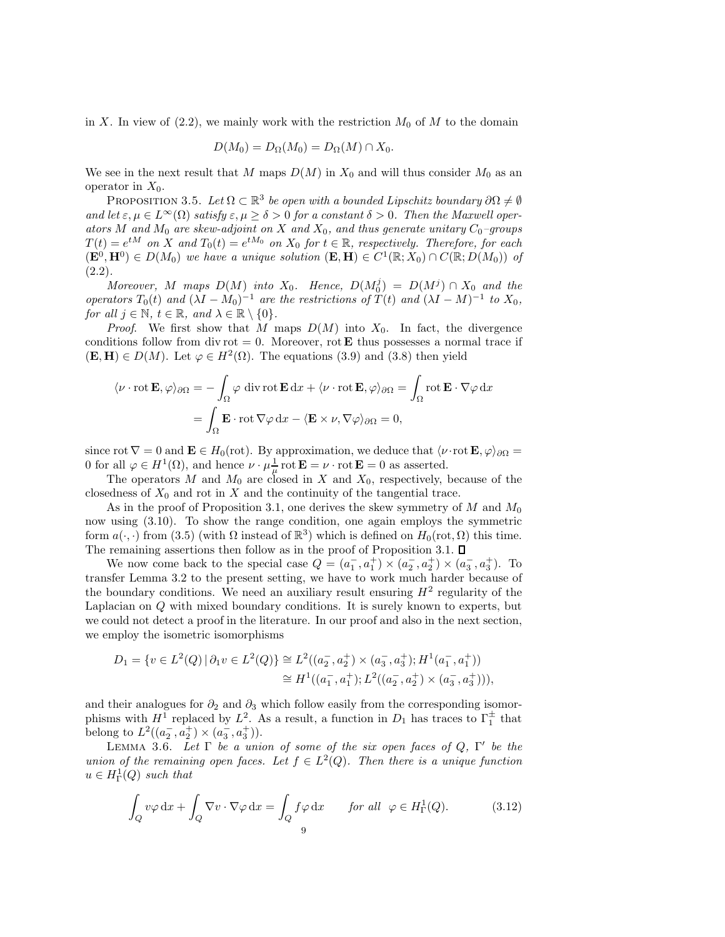in X. In view of  $(2.2)$ , we mainly work with the restriction  $M_0$  of M to the domain

$$
D(M_0) = D_{\Omega}(M_0) = D_{\Omega}(M) \cap X_0.
$$

We see in the next result that M maps  $D(M)$  in  $X_0$  and will thus consider  $M_0$  as an operator in  $X_0$ .

PROPOSITION 3.5. Let  $\Omega \subset \mathbb{R}^3$  be open with a bounded Lipschitz boundary  $\partial \Omega \neq \emptyset$ and let  $\varepsilon, \mu \in L^{\infty}(\Omega)$  satisfy  $\varepsilon, \mu \geq \delta > 0$  for a constant  $\delta > 0$ . Then the Maxwell operators M and  $M_0$  are skew-adjoint on X and  $X_0$ , and thus generate unitary  $C_0$ -groups  $T(t) = e^{tM}$  on X and  $T_0(t) = e^{tM_0}$  on  $X_0$  for  $t \in \mathbb{R}$ , respectively. Therefore, for each  $(\mathbf{E}^0, \mathbf{H}^0) \in D(M_0)$  we have a unique solution  $(\mathbf{E}, \mathbf{H}) \in C^1(\mathbb{R}; X_0) \cap C(\mathbb{R}; D(M_0))$  of  $(2.2).$ 

Moreover, M maps  $D(M)$  into  $X_0$ . Hence,  $D(M_0^j) = D(M^j) \cap X_0$  and the operators  $T_0(t)$  and  $(\lambda I - M_0)^{-1}$  are the restrictions of  $T(t)$  and  $(\lambda I - M)^{-1}$  to  $X_0$ , for all  $j \in \mathbb{N}$ ,  $t \in \mathbb{R}$ , and  $\lambda \in \mathbb{R} \setminus \{0\}$ .

*Proof.* We first show that M maps  $D(M)$  into  $X_0$ . In fact, the divergence conditions follow from div rot = 0. Moreover, rot **E** thus possesses a normal trace if  $(\mathbf{E}, \mathbf{H}) \in D(M)$ . Let  $\varphi \in H^2(\Omega)$ . The equations (3.9) and (3.8) then yield

$$
\langle \nu \cdot \operatorname{rot} \mathbf{E}, \varphi \rangle_{\partial \Omega} = -\int_{\Omega} \varphi \operatorname{div} \operatorname{rot} \mathbf{E} \, dx + \langle \nu \cdot \operatorname{rot} \mathbf{E}, \varphi \rangle_{\partial \Omega} = \int_{\Omega} \operatorname{rot} \mathbf{E} \cdot \nabla \varphi \, dx
$$

$$
= \int_{\Omega} \mathbf{E} \cdot \operatorname{rot} \nabla \varphi \, dx - \langle \mathbf{E} \times \nu, \nabla \varphi \rangle_{\partial \Omega} = 0,
$$

since rot  $\nabla = 0$  and  $\mathbf{E} \in H_0(\text{rot})$ . By approximation, we deduce that  $\langle \nu \cdot \text{rot } \mathbf{E}, \varphi \rangle_{\partial \Omega} =$ 0 for all  $\varphi \in H^1(\Omega)$ , and hence  $\nu \cdot \mu \frac{1}{\mu} \text{rot } \mathbf{E} = \nu \cdot \text{rot } \mathbf{E} = 0$  as asserted.

The operators M and  $M_0$  are closed in X and  $X_0$ , respectively, because of the closedness of  $X_0$  and rot in X and the continuity of the tangential trace.

As in the proof of Proposition 3.1, one derives the skew symmetry of  $M$  and  $M_0$ now using (3.10). To show the range condition, one again employs the symmetric form  $a(\cdot, \cdot)$  from (3.5) (with  $\Omega$  instead of  $\mathbb{R}^3$ ) which is defined on  $H_0(\text{rot}, \Omega)$  this time. The remaining assertions then follow as in the proof of Proposition 3.1.  $\square$ 

We now come back to the special case  $Q = (a_1^-, a_1^+) \times (a_2^-, a_2^+) \times (a_3^-, a_3^+)$ . To transfer Lemma 3.2 to the present setting, we have to work much harder because of the boundary conditions. We need an auxiliary result ensuring  $H^2$  regularity of the Laplacian on Q with mixed boundary conditions. It is surely known to experts, but we could not detect a proof in the literature. In our proof and also in the next section, we employ the isometric isomorphisms

$$
D_1 = \{ v \in L^2(Q) \mid \partial_1 v \in L^2(Q) \} \cong L^2((a_2^-, a_2^+) \times (a_3^-, a_3^+); H^1(a_1^-, a_1^+))
$$
  

$$
\cong H^1((a_1^-, a_1^+); L^2((a_2^-, a_2^+) \times (a_3^-, a_3^+))),
$$

and their analogues for  $\partial_2$  and  $\partial_3$  which follow easily from the corresponding isomorphisms with  $H^1$  replaced by  $L^2$ . As a result, a function in  $D_1$  has traces to  $\Gamma_1^{\pm}$  that belong to  $L^2((a_2^-, a_2^+) \times (a_3^-, a_3^+))$ .

LEMMA 3.6. Let  $\Gamma$  be a union of some of the six open faces of  $Q$ ,  $\Gamma'$  be the union of the remaining open faces. Let  $f \in L^2(Q)$ . Then there is a unique function  $u \in H^1_{\Gamma}(Q)$  such that

$$
\int_{Q} v\varphi \,dx + \int_{Q} \nabla v \cdot \nabla \varphi \,dx = \int_{Q} f\varphi \,dx \quad \text{for all } \varphi \in H_{\Gamma}^{1}(Q). \tag{3.12}
$$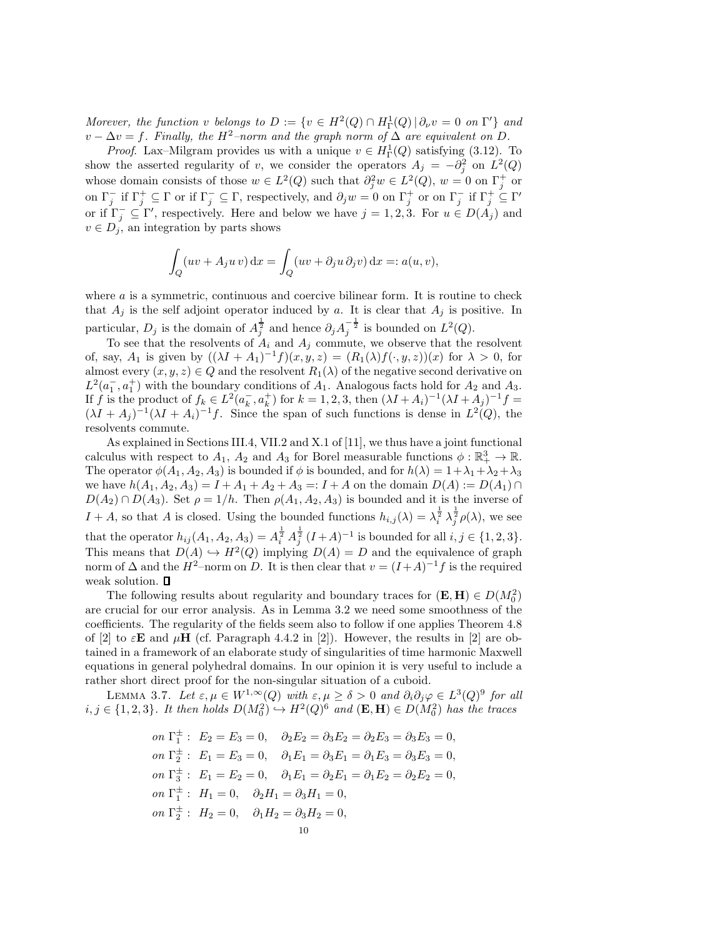Morever, the function v belongs to  $D := \{v \in H^2(Q) \cap H^1_{\Gamma}(Q) \, | \, \partial_{\nu} v = 0 \text{ on } \Gamma' \}$  and  $v - \Delta v = f$ . Finally, the H<sup>2</sup>–norm and the graph norm of  $\Delta$  are equivalent on D.

*Proof.* Lax–Milgram provides us with a unique  $v \in H^1_{\Gamma}(Q)$  satisfying (3.12). To show the asserted regularity of v, we consider the operators  $A_j = -\partial_j^2$  on  $L^2(Q)$ whose domain consists of those  $w \in L^2(Q)$  such that  $\partial_j^2 w \in L^2(Q)$ ,  $w = 0$  on  $\Gamma_j^+$  or on  $\Gamma_j^-$  if  $\Gamma_j^+ \subseteq \Gamma$  or if  $\Gamma_j^- \subseteq \Gamma$ , respectively, and  $\partial_j w = 0$  on  $\Gamma_j^+$  or on  $\Gamma_j^-$  if  $\Gamma_j^+ \subseteq \Gamma'$ or if  $\Gamma_j^- \subseteq \Gamma'$ , respectively. Here and below we have  $j = 1, 2, 3$ . For  $u \in D(A_j)$  and  $v \in D_j$ , an integration by parts shows

$$
\int_{Q} (uv + A_j u v) dx = \int_{Q} (uv + \partial_j u \partial_j v) dx =: a(u, v),
$$

where  $a$  is a symmetric, continuous and coercive bilinear form. It is routine to check that  $A_i$  is the self adjoint operator induced by a. It is clear that  $A_i$  is positive. In particular,  $D_j$  is the domain of  $A_j^{\frac{1}{2}}$  and hence  $\partial_j A_j^{-\frac{1}{2}}$  is bounded on  $L^2(Q)$ .

To see that the resolvents of  $A_i$  and  $A_j$  commute, we observe that the resolvent of, say,  $A_1$  is given by  $((\lambda I + A_1)^{-1}f)(x, y, z) = (R_1(\lambda)f(\cdot, y, z))(x)$  for  $\lambda > 0$ , for almost every  $(x, y, z) \in Q$  and the resolvent  $R_1(\lambda)$  of the negative second derivative on  $L^2(a_1^-, a_1^+)$  with the boundary conditions of  $A_1$ . Analogous facts hold for  $A_2$  and  $A_3$ . If f is the product of  $f_k \in L^2(a_k^-, a_k^+)$  for  $k = 1, 2, 3$ , then  $(\lambda I + A_i)^{-1}(\lambda I + A_j)^{-1}f =$  $(\lambda I + A_j)^{-1}(\lambda I + A_i)^{-1}f$ . Since the span of such functions is dense in  $L^2(Q)$ , the resolvents commute.

As explained in Sections III.4, VII.2 and X.1 of [11], we thus have a joint functional calculus with respect to  $A_1$ ,  $A_2$  and  $A_3$  for Borel measurable functions  $\phi : \mathbb{R}^3_+ \to \mathbb{R}$ . The operator  $\phi(A_1, A_2, A_3)$  is bounded if  $\phi$  is bounded, and for  $h(\lambda) = 1 + \lambda_1 + \lambda_2 + \lambda_3$ we have  $h(A_1, A_2, A_3) = I + A_1 + A_2 + A_3 =: I + A$  on the domain  $D(A) := D(A_1) \cap A_2$  $D(A_2) \cap D(A_3)$ . Set  $\rho = 1/h$ . Then  $\rho(A_1, A_2, A_3)$  is bounded and it is the inverse of  $I + A$ , so that A is closed. Using the bounded functions  $h_{i,j}(\lambda) = \lambda_i^{\frac{1}{2}} \lambda_j^{\frac{1}{2}} \rho(\lambda)$ , we see that the operator  $h_{ij}(A_1, A_2, A_3) = A_i^{\frac{1}{2}} A_j^{\frac{1}{2}} (I + A)^{-1}$  is bounded for all  $i, j \in \{1, 2, 3\}.$ This means that  $D(A) \hookrightarrow H^2(Q)$  implying  $D(A) = D$  and the equivalence of graph norm of  $\Delta$  and the  $H^2$ –norm on D. It is then clear that  $v = (I+A)^{-1}f$  is the required weak solution.  $\square$ 

The following results about regularity and boundary traces for  $(\mathbf{E}, \mathbf{H}) \in D(M_0^2)$ are crucial for our error analysis. As in Lemma 3.2 we need some smoothness of the coefficients. The regularity of the fields seem also to follow if one applies Theorem 4.8 of [2] to  $\varepsilon$ **E** and  $\mu$ **H** (cf. Paragraph 4.4.2 in [2]). However, the results in [2] are obtained in a framework of an elaborate study of singularities of time harmonic Maxwell equations in general polyhedral domains. In our opinion it is very useful to include a rather short direct proof for the non-singular situation of a cuboid.

LEMMA 3.7. Let  $\varepsilon, \mu \in W^{1,\infty}(Q)$  with  $\varepsilon, \mu \geq \delta > 0$  and  $\partial_i \partial_j \varphi \in L^3(Q)^9$  for all  $i, j \in \{1, 2, 3\}$ . It then holds  $D(M_0^2) \hookrightarrow H^2(Q)^6$  and  $(\mathbf{E}, \mathbf{H}) \in D(M_0^2)$  has the traces

on 
$$
\Gamma_1^{\pm}
$$
:  $E_2 = E_3 = 0$ ,  $\partial_2 E_2 = \partial_3 E_2 = \partial_2 E_3 = \partial_3 E_3 = 0$ ,  
\non  $\Gamma_2^{\pm}$ :  $E_1 = E_3 = 0$ ,  $\partial_1 E_1 = \partial_3 E_1 = \partial_1 E_3 = \partial_3 E_3 = 0$ ,  
\non  $\Gamma_3^{\pm}$ :  $E_1 = E_2 = 0$ ,  $\partial_1 E_1 = \partial_2 E_1 = \partial_1 E_2 = \partial_2 E_2 = 0$ ,  
\non  $\Gamma_1^{\pm}$ :  $H_1 = 0$ ,  $\partial_2 H_1 = \partial_3 H_1 = 0$ ,  
\non  $\Gamma_2^{\pm}$ :  $H_2 = 0$ ,  $\partial_1 H_2 = \partial_3 H_2 = 0$ ,  
\n10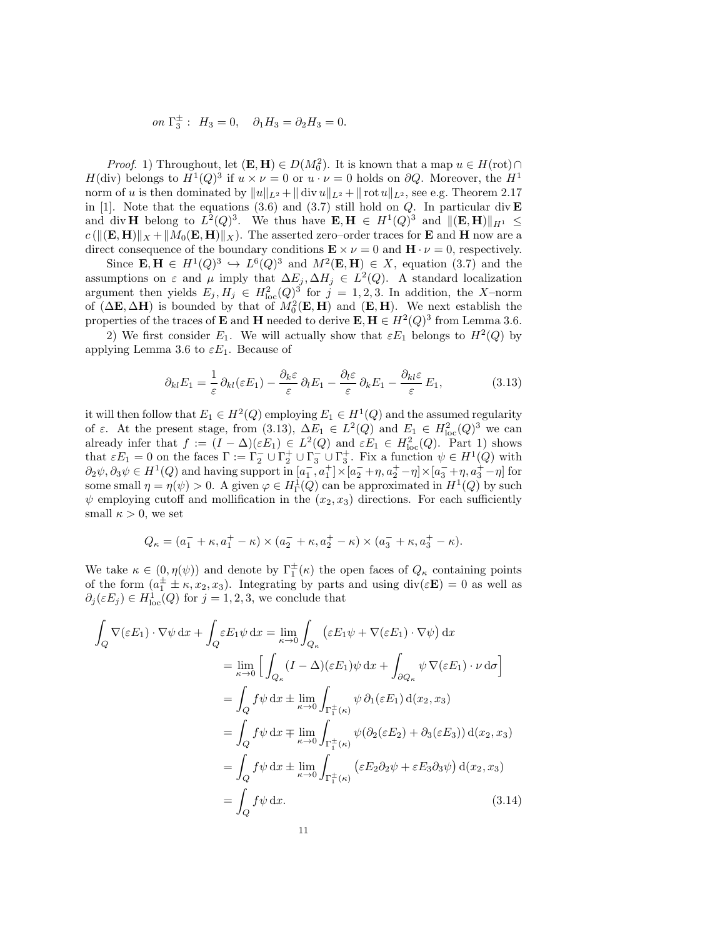on 
$$
\Gamma_3^{\pm}
$$
:  $H_3 = 0$ ,  $\partial_1 H_3 = \partial_2 H_3 = 0$ .

*Proof.* 1) Throughout, let  $(\mathbf{E}, \mathbf{H}) \in D(M_0^2)$ . It is known that a map  $u \in H(\text{rot}) \cap$  $H(\text{div})$  belongs to  $H^1(Q)^3$  if  $u \times \nu = 0$  or  $u \cdot \nu = 0$  holds on  $\partial Q$ . Moreover, the  $H^1$ norm of u is then dominated by  $||u||_{L^2} + || \text{div } u||_{L^2} + || \text{rot } u||_{L^2}$ , see e.g. Theorem 2.17 in [1]. Note that the equations (3.6) and (3.7) still hold on  $Q$ . In particular div **E** and div H belong to  $L^2(Q)^3$ . We thus have  $\mathbf{E}, \mathbf{H} \in H^1(Q)^3$  and  $\|(\mathbf{E}, \mathbf{H})\|_{H^1} \le$  $c(||(\mathbf{E}, \mathbf{H})||_X + ||M_0(\mathbf{E}, \mathbf{H})||_X$ . The asserted zero–order traces for **E** and **H** now are a direct consequence of the boundary conditions  $\mathbf{E} \times \nu = 0$  and  $\mathbf{H} \cdot \nu = 0$ , respectively.

Since  $\mathbf{E}, \mathbf{H} \in H^1(Q)^3 \hookrightarrow L^6(Q)^3$  and  $M^2(\mathbf{E}, \mathbf{H}) \in X$ , equation (3.7) and the assumptions on  $\varepsilon$  and  $\mu$  imply that  $\Delta E_j$ ,  $\Delta H_j \in L^2(Q)$ . A standard localization argument then yields  $E_j, H_j \in H^2_{loc}(Q)^3$  for  $j = 1, 2, 3$ . In addition, the X-norm of  $(\Delta \mathbf{E}, \Delta \mathbf{H})$  is bounded by that of  $M_0^2(\mathbf{E}, \mathbf{H})$  and  $(\mathbf{E}, \mathbf{H})$ . We next establish the properties of the traces of **E** and **H** needed to derive  $\mathbf{E}, \mathbf{H} \in H^2(Q)^3$  from Lemma 3.6.

2) We first consider  $E_1$ . We will actually show that  $\epsilon E_1$  belongs to  $H^2(Q)$  by applying Lemma 3.6 to  $\varepsilon E_1$ . Because of

$$
\partial_{kl} E_1 = \frac{1}{\varepsilon} \partial_{kl} (\varepsilon E_1) - \frac{\partial_k \varepsilon}{\varepsilon} \partial_l E_1 - \frac{\partial_l \varepsilon}{\varepsilon} \partial_k E_1 - \frac{\partial_{kl} \varepsilon}{\varepsilon} E_1, \tag{3.13}
$$

it will then follow that  $E_1 \in H^2(Q)$  employing  $E_1 \in H^1(Q)$  and the assumed regularity of  $\varepsilon$ . At the present stage, from (3.13),  $\Delta E_1 \in L^2(Q)$  and  $E_1 \in H^2_{loc}(Q)^3$  we can already infer that  $f := (I - \Delta)(\varepsilon E_1) \in L^2(Q)$  and  $\varepsilon E_1 \in H^2_{loc}(Q)$ . Part 1) shows that  $\varepsilon E_1 = 0$  on the faces  $\Gamma := \Gamma_2^- \cup \Gamma_2^+ \cup \Gamma_3^- \cup \Gamma_3^+$ . Fix a function  $\psi \in H^1(Q)$  with  $\partial_2\psi, \partial_3\psi \in H^1(Q)$  and having support in  $[a_1^-, a_1^+] \times [a_2^- + \eta, a_2^+ - \eta] \times [a_3^- + \eta, a_3^+ - \eta]$  for some small  $\eta = \eta(\psi) > 0$ . A given  $\varphi \in H^1_{\Gamma}(Q)$  can be approximated in  $H^1(Q)$  by such  $\psi$  employing cutoff and mollification in the  $(x_2, x_3)$  directions. For each sufficiently small  $\kappa > 0$ , we set

$$
Q_{\kappa} = (a_1^- + \kappa, a_1^+ - \kappa) \times (a_2^- + \kappa, a_2^+ - \kappa) \times (a_3^- + \kappa, a_3^+ - \kappa).
$$

We take  $\kappa \in (0, \eta(\psi))$  and denote by  $\Gamma_1^{\pm}(\kappa)$  the open faces of  $Q_{\kappa}$  containing points of the form  $(a_1^{\pm} \pm \kappa, x_2, x_3)$ . Integrating by parts and using div( $\varepsilon$ **E**) = 0 as well as  $\partial_j(\varepsilon E_j) \in H^1_{loc}(Q)$  for  $j = 1, 2, 3$ , we conclude that

$$
\int_{Q} \nabla(\varepsilon E_{1}) \cdot \nabla \psi \, dx + \int_{Q} \varepsilon E_{1} \psi \, dx = \lim_{\kappa \to 0} \int_{Q_{\kappa}} (\varepsilon E_{1} \psi + \nabla(\varepsilon E_{1}) \cdot \nabla \psi) \, dx
$$
\n
$$
= \lim_{\kappa \to 0} \left[ \int_{Q_{\kappa}} (I - \Delta)(\varepsilon E_{1}) \psi \, dx + \int_{\partial Q_{\kappa}} \psi \nabla(\varepsilon E_{1}) \cdot \nu \, d\sigma \right]
$$
\n
$$
= \int_{Q} f \psi \, dx \pm \lim_{\kappa \to 0} \int_{\Gamma_{1}^{\pm}(\kappa)} \psi \, \partial_{1}(\varepsilon E_{1}) \, d(x_{2}, x_{3})
$$
\n
$$
= \int_{Q} f \psi \, dx \mp \lim_{\kappa \to 0} \int_{\Gamma_{1}^{\pm}(\kappa)} \psi(\partial_{2}(\varepsilon E_{2}) + \partial_{3}(\varepsilon E_{3})) \, d(x_{2}, x_{3})
$$
\n
$$
= \int_{Q} f \psi \, dx \pm \lim_{\kappa \to 0} \int_{\Gamma_{1}^{\pm}(\kappa)} (\varepsilon E_{2} \partial_{2} \psi + \varepsilon E_{3} \partial_{3} \psi) \, d(x_{2}, x_{3})
$$
\n
$$
= \int_{Q} f \psi \, dx. \tag{3.14}
$$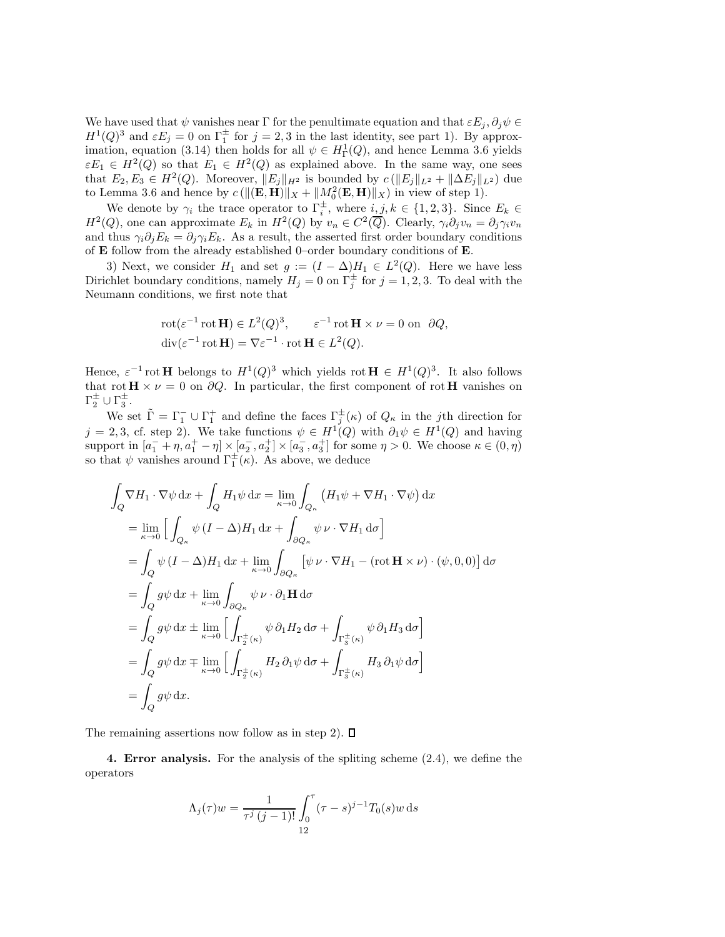We have used that  $\psi$  vanishes near Γ for the penultimate equation and that  $\varepsilon E_j$ ,  $\partial_j \psi \in$  $H^1(Q)^3$  and  $\varepsilon E_j = 0$  on  $\Gamma_1^{\pm}$  for  $j = 2, 3$  in the last identity, see part 1). By approximation, equation (3.14) then holds for all  $\psi \in H^1_{\Gamma}(Q)$ , and hence Lemma 3.6 yields  $\varepsilon E_1 \in H^2(Q)$  so that  $E_1 \in H^2(Q)$  as explained above. In the same way, one sees that  $E_2, E_3 \in H^2(Q)$ . Moreover,  $||E_j||_{H^2}$  is bounded by  $c(||E_j||_{L^2} + ||\Delta E_j||_{L^2})$  due to Lemma 3.6 and hence by  $c(||(\mathbf{E}, \mathbf{H})||_X + ||M_0^2(\mathbf{E}, \mathbf{H})||_X)$  in view of step 1).

We denote by  $\gamma_i$  the trace operator to  $\Gamma_i^{\pm}$ , where  $i, j, k \in \{1, 2, 3\}$ . Since  $E_k \in$  $H^2(Q)$ , one can approximate  $E_k$  in  $H^2(Q)$  by  $v_n \in C^2(\overline{Q})$ . Clearly,  $\gamma_i \partial_j v_n = \partial_j \gamma_i v_n$ and thus  $\gamma_i \partial_j E_k = \partial_j \gamma_i E_k$ . As a result, the asserted first order boundary conditions of E follow from the already established 0–order boundary conditions of E.

3) Next, we consider  $H_1$  and set  $g := (I - \Delta)H_1 \in L^2(Q)$ . Here we have less Dirichlet boundary conditions, namely  $H_j = 0$  on  $\Gamma_j^{\pm}$  for  $j = 1, 2, 3$ . To deal with the Neumann conditions, we first note that

$$
\begin{aligned} &\text{rot}(\varepsilon^{-1}\text{rot}\,\mathbf{H}) \in L^2(Q)^3, \qquad \varepsilon^{-1}\text{rot}\,\mathbf{H} \times \nu = 0 \text{ on } \partial Q, \\ &\text{div}(\varepsilon^{-1}\text{rot}\,\mathbf{H}) = \nabla \varepsilon^{-1} \cdot \text{rot}\,\mathbf{H} \in L^2(Q). \end{aligned}
$$

Hence,  $\varepsilon^{-1}$  rot **H** belongs to  $H^1(Q)^3$  which yields rot **H**  $\in H^1(Q)^3$ . It also follows that rot  $\mathbf{H} \times \nu = 0$  on  $\partial Q$ . In particular, the first component of rot H vanishes on  $\Gamma_2^{\pm} \cup \Gamma_3^{\pm}.$ 

We set  $\tilde{\Gamma} = \Gamma_1^- \cup \Gamma_1^+$  and define the faces  $\Gamma_j^{\pm}(\kappa)$  of  $Q_{\kappa}$  in the *j*th direction for  $j = 2, 3$ , cf. step 2). We take functions  $\psi \in H^1(Q)$  with  $\partial_1 \psi \in H^1(Q)$  and having support in  $[a_1^- + \eta, a_1^+ - \eta] \times [a_2^-, a_2^+] \times [a_3^-, a_3^+]$  for some  $\eta > 0$ . We choose  $\kappa \in (0, \eta)$ so that  $\psi$  vanishes around  $\Gamma_1^{\pm}(\kappa)$ . As above, we deduce

$$
\int_{Q} \nabla H_{1} \cdot \nabla \psi \, dx + \int_{Q} H_{1} \psi \, dx = \lim_{\kappa \to 0} \int_{Q_{\kappa}} (H_{1} \psi + \nabla H_{1} \cdot \nabla \psi) \, dx
$$
  
\n
$$
= \lim_{\kappa \to 0} \left[ \int_{Q_{\kappa}} \psi (I - \Delta) H_{1} \, dx + \int_{\partial Q_{\kappa}} \psi \nu \cdot \nabla H_{1} \, d\sigma \right]
$$
  
\n
$$
= \int_{Q} \psi (I - \Delta) H_{1} \, dx + \lim_{\kappa \to 0} \int_{\partial Q_{\kappa}} [\psi \nu \cdot \nabla H_{1} - (\text{rot } \mathbf{H} \times \nu) \cdot (\psi, 0, 0)] \, d\sigma
$$
  
\n
$$
= \int_{Q} g \psi \, dx + \lim_{\kappa \to 0} \int_{\partial Q_{\kappa}} \psi \nu \cdot \partial_{1} \mathbf{H} \, d\sigma
$$
  
\n
$$
= \int_{Q} g \psi \, dx \pm \lim_{\kappa \to 0} \left[ \int_{\Gamma_{2}^{\pm}(\kappa)} \psi \, \partial_{1} H_{2} \, d\sigma + \int_{\Gamma_{3}^{\pm}(\kappa)} \psi \, \partial_{1} H_{3} \, d\sigma \right]
$$
  
\n
$$
= \int_{Q} g \psi \, dx \mp \lim_{\kappa \to 0} \left[ \int_{\Gamma_{2}^{\pm}(\kappa)} H_{2} \, \partial_{1} \psi \, d\sigma + \int_{\Gamma_{3}^{\pm}(\kappa)} H_{3} \, \partial_{1} \psi \, d\sigma \right]
$$
  
\n
$$
= \int_{Q} g \psi \, dx.
$$

The remaining assertions now follow as in step 2).  $\Box$ 

4. Error analysis. For the analysis of the spliting scheme (2.4), we define the operators

$$
\Lambda_j(\tau)w = \frac{1}{\tau^j (j-1)!} \int_0^{\tau} (\tau - s)^{j-1} T_0(s)w \,ds
$$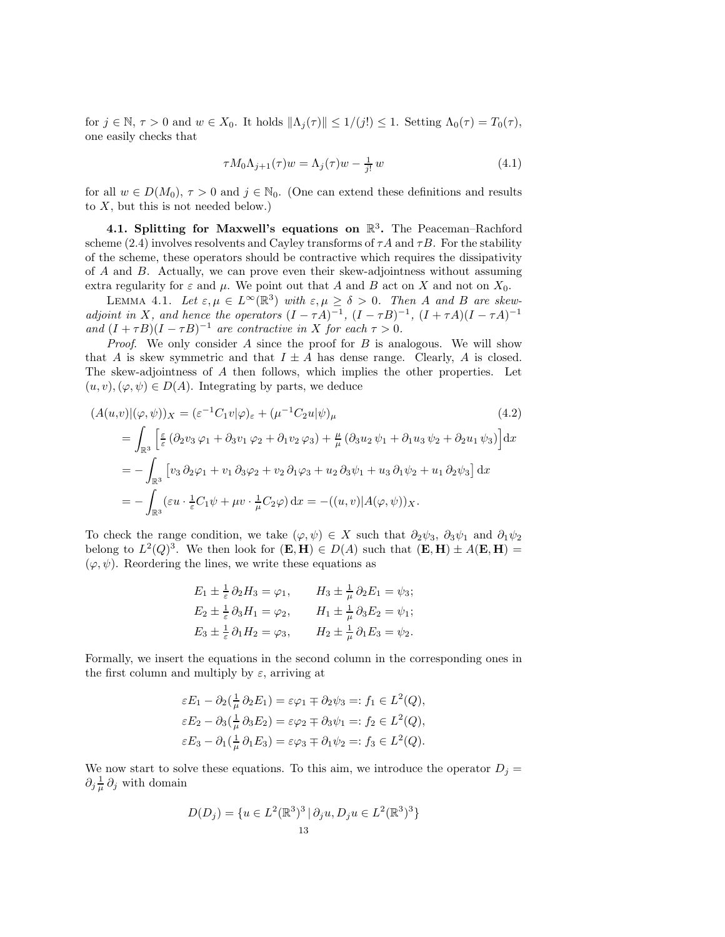for  $j \in \mathbb{N}, \tau > 0$  and  $w \in X_0$ . It holds  $\|\Lambda_j(\tau)\| \leq 1/(j!) \leq 1$ . Setting  $\Lambda_0(\tau) = T_0(\tau)$ , one easily checks that

$$
\tau M_0 \Lambda_{j+1}(\tau) w = \Lambda_j(\tau) w - \frac{1}{j!} w \tag{4.1}
$$

for all  $w \in D(M_0)$ ,  $\tau > 0$  and  $j \in \mathbb{N}_0$ . (One can extend these definitions and results to  $X$ , but this is not needed below.)

4.1. Splitting for Maxwell's equations on  $\mathbb{R}^3$ . The Peaceman-Rachford scheme (2.4) involves resolvents and Cayley transforms of  $\tau A$  and  $\tau B$ . For the stability of the scheme, these operators should be contractive which requires the dissipativity of A and B. Actually, we can prove even their skew-adjointness without assuming extra regularity for  $\varepsilon$  and  $\mu$ . We point out that A and B act on X and not on  $X_0$ .

LEMMA 4.1. Let  $\varepsilon, \mu \in L^{\infty}(\mathbb{R}^3)$  with  $\varepsilon, \mu \geq \delta > 0$ . Then A and B are skewadjoint in X, and hence the operators  $(I - \tau A)^{-1}$ ,  $(I - \tau B)^{-1}$ ,  $(I + \tau A)(I - \tau A)^{-1}$ and  $(I + \tau B)(I - \tau B)^{-1}$  are contractive in X for each  $\tau > 0$ .

*Proof.* We only consider  $A$  since the proof for  $B$  is analogous. We will show that A is skew symmetric and that  $I \pm A$  has dense range. Clearly, A is closed. The skew-adjointness of A then follows, which implies the other properties. Let  $(u, v), (\varphi, \psi) \in D(A)$ . Integrating by parts, we deduce

$$
(A(u,v)|(\varphi,\psi))_X = (\varepsilon^{-1}C_1v|\varphi)_{\varepsilon} + (\mu^{-1}C_2u|\psi)_{\mu}
$$
\n
$$
= \int_{\mathbb{R}^3} \left[ \frac{\varepsilon}{\varepsilon} (\partial_2v_3\varphi_1 + \partial_3v_1\varphi_2 + \partial_1v_2\varphi_3) + \frac{\mu}{\mu} (\partial_3u_2\psi_1 + \partial_1u_3\psi_2 + \partial_2u_1\psi_3) \right] dx
$$
\n
$$
= - \int_{\mathbb{R}^3} \left[ v_3\partial_2\varphi_1 + v_1\partial_3\varphi_2 + v_2\partial_1\varphi_3 + u_2\partial_3\psi_1 + u_3\partial_1\psi_2 + u_1\partial_2\psi_3 \right] dx
$$
\n
$$
= - \int_{\mathbb{R}^3} (\varepsilon u \cdot \frac{1}{\varepsilon}C_1\psi + \mu v \cdot \frac{1}{\mu}C_2\varphi) dx = -((u, v)|A(\varphi, \psi))_X.
$$
\n(4.2)

To check the range condition, we take  $(\varphi, \psi) \in X$  such that  $\partial_2 \psi_3$ ,  $\partial_3 \psi_1$  and  $\partial_1 \psi_2$ belong to  $L^2(Q)^3$ . We then look for  $(\mathbf{E}, \mathbf{H}) \in D(A)$  such that  $(\mathbf{E}, \mathbf{H}) \pm A(\mathbf{E}, \mathbf{H}) =$  $(\varphi, \psi)$ . Reordering the lines, we write these equations as

$$
E_1 \pm \frac{1}{\varepsilon} \partial_2 H_3 = \varphi_1, \qquad H_3 \pm \frac{1}{\mu} \partial_2 E_1 = \psi_3;
$$
  
\n
$$
E_2 \pm \frac{1}{\varepsilon} \partial_3 H_1 = \varphi_2, \qquad H_1 \pm \frac{1}{\mu} \partial_3 E_2 = \psi_1;
$$
  
\n
$$
E_3 \pm \frac{1}{\varepsilon} \partial_1 H_2 = \varphi_3, \qquad H_2 \pm \frac{1}{\mu} \partial_1 E_3 = \psi_2.
$$

Formally, we insert the equations in the second column in the corresponding ones in the first column and multiply by  $\varepsilon$ , arriving at

$$
\varepsilon E_1 - \partial_2(\frac{1}{\mu}\partial_2 E_1) = \varepsilon \varphi_1 \mp \partial_2 \psi_3 =: f_1 \in L^2(Q),
$$
  
\n
$$
\varepsilon E_2 - \partial_3(\frac{1}{\mu}\partial_3 E_2) = \varepsilon \varphi_2 \mp \partial_3 \psi_1 =: f_2 \in L^2(Q),
$$
  
\n
$$
\varepsilon E_3 - \partial_1(\frac{1}{\mu}\partial_1 E_3) = \varepsilon \varphi_3 \mp \partial_1 \psi_2 =: f_3 \in L^2(Q).
$$

We now start to solve these equations. To this aim, we introduce the operator  $D_j =$  $\partial_j \frac{1}{\mu} \partial_j$  with domain

$$
D(D_j) = \{ u \in L^2(\mathbb{R}^3)^3 \, | \, \partial_j u, D_j u \in L^2(\mathbb{R}^3)^3 \}
$$
  
13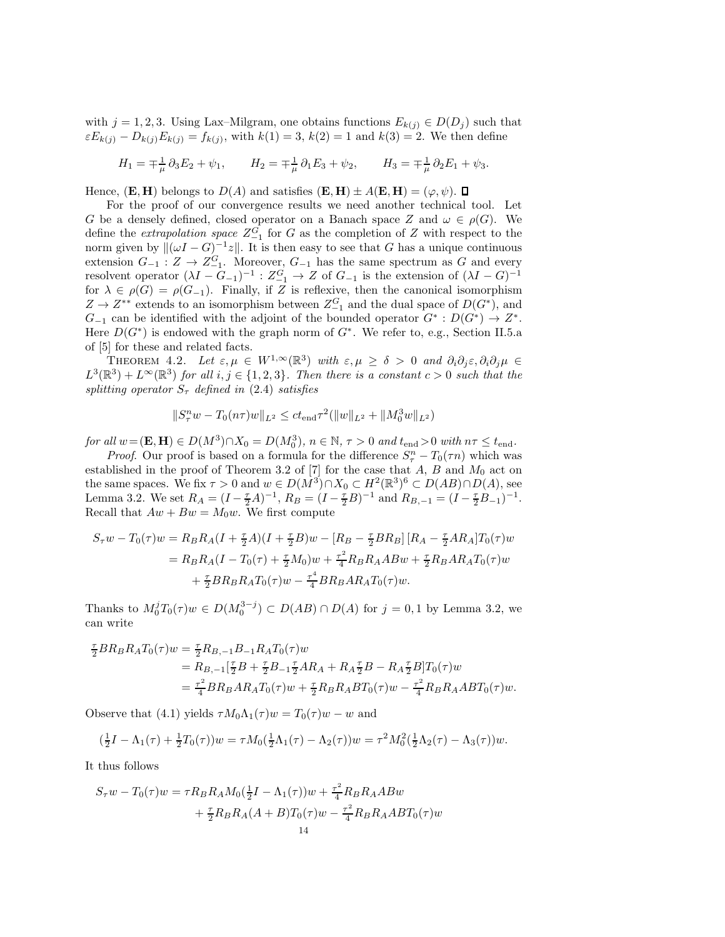with  $j = 1, 2, 3$ . Using Lax–Milgram, one obtains functions  $E_{k(j)} \in D(D_j)$  such that  $\epsilon E_{k(j)} - D_{k(j)} E_{k(j)} = f_{k(j)}$ , with  $k(1) = 3$ ,  $k(2) = 1$  and  $k(3) = 2$ . We then define

$$
H_1 = \mp \frac{1}{\mu} \partial_3 E_2 + \psi_1, \qquad H_2 = \mp \frac{1}{\mu} \partial_1 E_3 + \psi_2, \qquad H_3 = \mp \frac{1}{\mu} \partial_2 E_1 + \psi_3.
$$

Hence,  $(E, H)$  belongs to  $D(A)$  and satisfies  $(E, H) \pm A(E, H) = (\varphi, \psi)$ .

For the proof of our convergence results we need another technical tool. Let G be a densely defined, closed operator on a Banach space Z and  $\omega \in \rho(G)$ . We define the *extrapolation space*  $Z_{-1}^G$  for G as the completion of Z with respect to the norm given by  $\|(\omega I - G)^{-1}z\|$ . It is then easy to see that G has a unique continuous extension  $G_{-1}: Z \to Z_{-1}^G$ . Moreover,  $G_{-1}$  has the same spectrum as G and every resolvent operator  $(\lambda I - G_{-1})^{-1}$ :  $Z_{-1}^G \to Z$  of  $G_{-1}$  is the extension of  $(\lambda I - G)^{-1}$ for  $\lambda \in \rho(G) = \rho(G_{-1})$ . Finally, if Z is reflexive, then the canonical isomorphism  $Z \to Z^{**}$  extends to an isomorphism between  $Z_{-1}^G$  and the dual space of  $D(G^*)$ , and  $G_{-1}$  can be identified with the adjoint of the bounded operator  $G^* : D(G^*) \to Z^*$ . Here  $D(G^*)$  is endowed with the graph norm of  $G^*$ . We refer to, e.g., Section II.5.a of [5] for these and related facts.

THEOREM 4.2. Let  $\varepsilon, \mu \in W^{1,\infty}(\mathbb{R}^3)$  with  $\varepsilon, \mu \geq \delta > 0$  and  $\partial_i \partial_j \varepsilon, \partial_i \partial_j \mu \in \mathbb{R}^3$  $L^3(\mathbb{R}^3) + L^{\infty}(\mathbb{R}^3)$  for all  $i, j \in \{1, 2, 3\}$ . Then there is a constant  $c > 0$  such that the splitting operator  $S_{\tau}$  defined in (2.4) satisfies

$$
||S_{\tau}^n w - T_0(n\tau)w||_{L^2} \le ct_{\text{end}}\tau^2(||w||_{L^2} + ||M_0^3w||_{L^2})
$$

for all  $w = (\mathbf{E}, \mathbf{H}) \in D(M^3) \cap X_0 = D(M_0^3)$ ,  $n \in \mathbb{N}$ ,  $\tau > 0$  and  $t_{end} > 0$  with  $n\tau \leq t_{end}$ .

*Proof.* Our proof is based on a formula for the difference  $S_{\tau}^n - T_0(\tau n)$  which was established in the proof of Theorem 3.2 of [7] for the case that  $A, B$  and  $M_0$  act on the same spaces. We fix  $\tau > 0$  and  $w \in D(M^3) \cap X_0 \subset H^2(\mathbb{R}^3)^6 \subset D(AB) \cap D(A)$ , see Lemma 3.2. We set  $R_A = (I - \frac{\tau}{2}A)^{-1}$ ,  $R_B = (I - \frac{\tau}{2}B)^{-1}$  and  $R_{B,-1} = (I - \frac{\tau}{2}B_{-1})^{-1}$ . Recall that  $Aw + Bw = M_0w$ . We first compute

$$
S_{\tau}w - T_0(\tau)w = R_B R_A (I + \frac{\tau}{2}A)(I + \frac{\tau}{2}B)w - [R_B - \frac{\tau}{2}BR_B] [R_A - \frac{\tau}{2}AR_A]T_0(\tau)w
$$
  
=  $R_B R_A (I - T_0(\tau) + \frac{\tau}{2}M_0)w + \frac{\tau^2}{4}R_B R_A ABw + \frac{\tau}{2}R_B A R_A T_0(\tau)w$   
+  $\frac{\tau}{2}BR_B R_A T_0(\tau)w - \frac{\tau^4}{4}BR_B A R_A T_0(\tau)w.$ 

Thanks to  $M_0^j T_0(\tau) w \in D(M_0^{3-j}) \subset D(AB) \cap D(A)$  for  $j = 0, 1$  by Lemma 3.2, we can write

$$
\begin{split} \frac{\tau}{2} BR_B R_A T_0(\tau) w &= \frac{\tau}{2} R_{B,-1} B_{-1} R_A T_0(\tau) w \\ &= R_{B,-1} [\frac{\tau}{2} B + \frac{\tau}{2} B_{-1} \frac{\tau}{2} A R_A + R_A \frac{\tau}{2} B - R_A \frac{\tau}{2} B] T_0(\tau) w \\ &= \frac{\tau^2}{4} BR_B AR_A T_0(\tau) w + \frac{\tau}{2} R_B R_A B T_0(\tau) w - \frac{\tau^2}{4} R_B R_A A B T_0(\tau) w. \end{split}
$$

Observe that (4.1) yields  $\tau M_0 \Lambda_1(\tau) w = T_0(\tau) w - w$  and

$$
\left(\frac{1}{2}I - \Lambda_1(\tau) + \frac{1}{2}T_0(\tau)\right)w = \tau M_0\left(\frac{1}{2}\Lambda_1(\tau) - \Lambda_2(\tau)\right)w = \tau^2 M_0^2\left(\frac{1}{2}\Lambda_2(\tau) - \Lambda_3(\tau)\right)w.
$$

It thus follows

$$
S_{\tau}w - T_0(\tau)w = \tau R_B R_A M_0(\frac{1}{2}I - \Lambda_1(\tau))w + \frac{\tau^2}{4} R_B R_A ABw
$$
  
+  $\frac{\tau}{2} R_B R_A (A + B) T_0(\tau)w - \frac{\tau^2}{4} R_B R_A AB T_0(\tau)w$   
14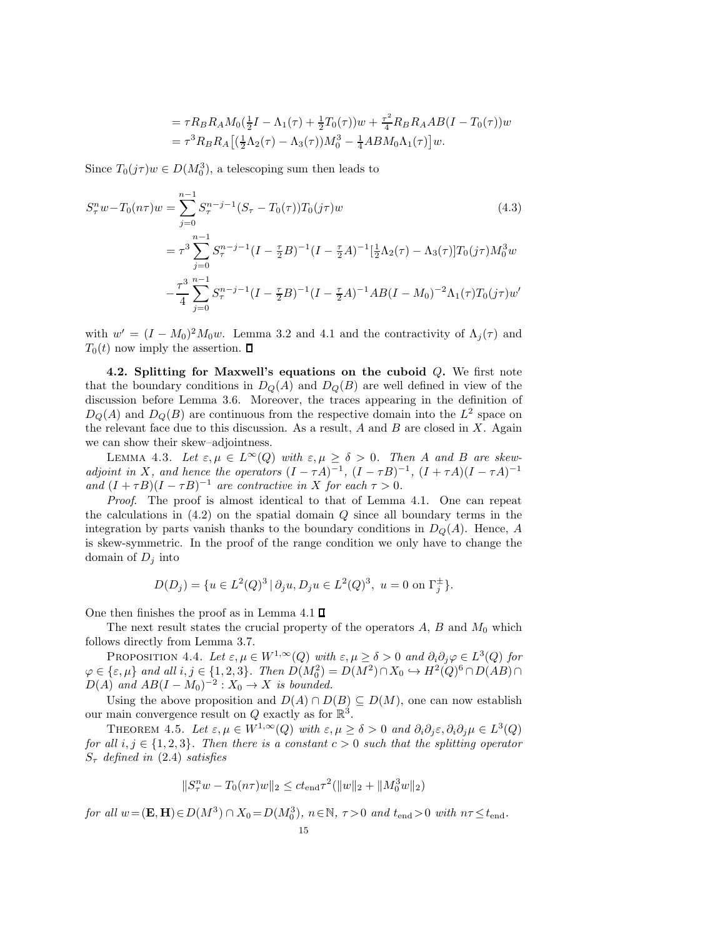$$
= \tau R_B R_A M_0 \left(\frac{1}{2}I - \Lambda_1(\tau) + \frac{1}{2}T_0(\tau)\right)w + \frac{\tau^2}{4} R_B R_A AB (I - T_0(\tau))w
$$
  

$$
= \tau^3 R_B R_A \left[ \left(\frac{1}{2}\Lambda_2(\tau) - \Lambda_3(\tau)\right)M_0^3 - \frac{1}{4}AB M_0 \Lambda_1(\tau) \right]w.
$$

Since  $T_0(j\tau)w \in D(M_0^3)$ , a telescoping sum then leads to

$$
S_{\tau}^{n}w - T_{0}(n\tau)w = \sum_{j=0}^{n-1} S_{\tau}^{n-j-1} (S_{\tau} - T_{0}(\tau)) T_{0}(j\tau)w
$$
(4.3)  

$$
= \tau^{3} \sum_{j=0}^{n-1} S_{\tau}^{n-j-1} (I - \frac{\tau}{2}B)^{-1} (I - \frac{\tau}{2}A)^{-1} [\frac{1}{2}\Lambda_{2}(\tau) - \Lambda_{3}(\tau)] T_{0}(j\tau) M_{0}^{3}w
$$

$$
- \frac{\tau^{3}}{4} \sum_{j=0}^{n-1} S_{\tau}^{n-j-1} (I - \frac{\tau}{2}B)^{-1} (I - \frac{\tau}{2}A)^{-1} AB (I - M_{0})^{-2} \Lambda_{1}(\tau) T_{0}(j\tau)w'
$$
(4.3)

with  $w' = (I - M_0)^2 M_0 w$ . Lemma 3.2 and 4.1 and the contractivity of  $\Lambda_j(\tau)$  and  $T_0(t)$  now imply the assertion.  $\Box$ 

4.2. Splitting for Maxwell's equations on the cuboid  $Q$ . We first note that the boundary conditions in  $D<sub>O</sub>(A)$  and  $D<sub>O</sub>(B)$  are well defined in view of the discussion before Lemma 3.6. Moreover, the traces appearing in the definition of  $D_Q(A)$  and  $D_Q(B)$  are continuous from the respective domain into the  $L^2$  space on the relevant face due to this discussion. As a result,  $A$  and  $B$  are closed in  $X$ . Again we can show their skew–adjointness.

LEMMA 4.3. Let  $\varepsilon, \mu \in L^{\infty}(Q)$  with  $\varepsilon, \mu \geq \delta > 0$ . Then A and B are skewadjoint in X, and hence the operators  $(I - \tau A)^{-1}$ ,  $(I - \tau B)^{-1}$ ,  $(I + \tau A)(I - \tau A)^{-1}$ and  $(I + \tau B)(I - \tau B)^{-1}$  are contractive in X for each  $\tau > 0$ .

Proof. The proof is almost identical to that of Lemma 4.1. One can repeat the calculations in  $(4.2)$  on the spatial domain  $Q$  since all boundary terms in the integration by parts vanish thanks to the boundary conditions in  $D_Q(A)$ . Hence, A is skew-symmetric. In the proof of the range condition we only have to change the domain of  $D_j$  into

$$
D(D_j) = \{ u \in L^2(Q)^3 \, | \, \partial_j u, D_j u \in L^2(Q)^3, \ u = 0 \text{ on } \Gamma_j^{\pm} \}.
$$

One then finishes the proof as in Lemma 4.1  $\square$ 

The next result states the crucial property of the operators  $A, B$  and  $M_0$  which follows directly from Lemma 3.7.

PROPOSITION 4.4. Let  $\varepsilon, \mu \in W^{1,\infty}(Q)$  with  $\varepsilon, \mu \geq \delta > 0$  and  $\partial_i \partial_j \varphi \in L^3(Q)$  for  $\varphi \in \{\varepsilon, \mu\}$  and all  $i, j \in \{1, 2, 3\}$ . Then  $D(M_0^2) = D(M^2) \cap X_0 \hookrightarrow H^2(Q)^6 \cap D(AB) \cap$  $D(A)$  and  $AB(I - M_0)^{-2}$ :  $X_0 \rightarrow X$  is bounded.

Using the above proposition and  $D(A) \cap D(B) \subseteq D(M)$ , one can now establish our main convergence result on Q exactly as for  $\mathbb{R}^3$ .

THEOREM 4.5. Let  $\varepsilon, \mu \in W^{1,\infty}(Q)$  with  $\varepsilon, \mu \ge \delta > 0$  and  $\partial_i \partial_j \varepsilon, \partial_i \partial_j \mu \in L^3(Q)$ for all i,  $j \in \{1, 2, 3\}$ . Then there is a constant  $c > 0$  such that the splitting operator  $S<sub>\tau</sub>$  defined in (2.4) satisfies

$$
||S_{\tau}^n w - T_0(n\tau)w||_2 \le ct_{\text{end}}\tau^2(||w||_2 + ||M_0^3w||_2)
$$

for all  $w = (\mathbf{E}, \mathbf{H}) \in D(M^3) \cap X_0 = D(M_0^3)$ ,  $n \in \mathbb{N}$ ,  $\tau > 0$  and  $t_{end} > 0$  with  $n\tau \leq t_{end}$ .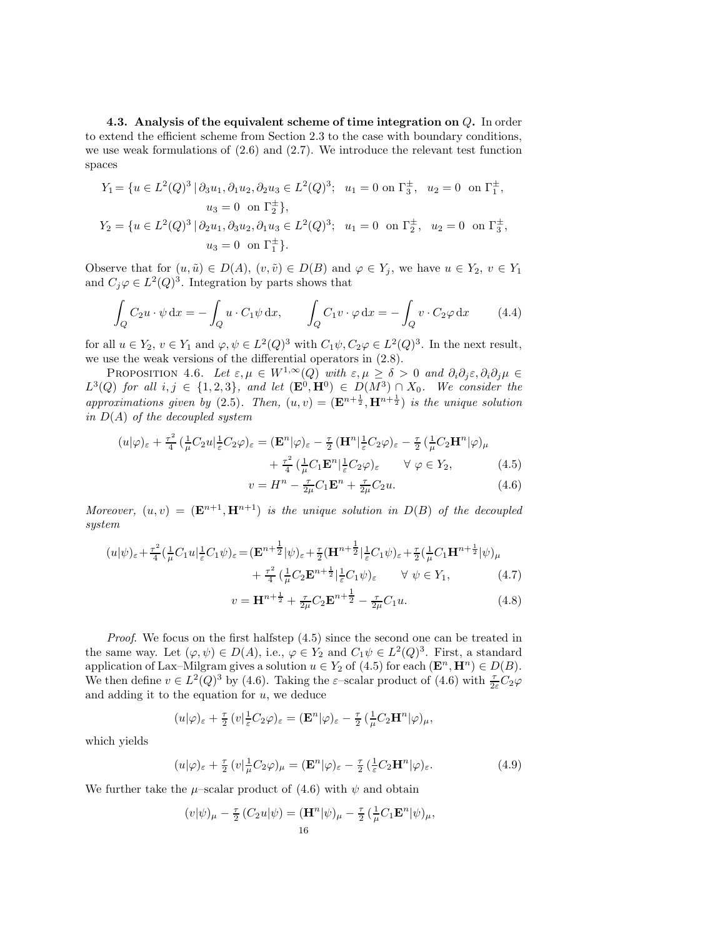4.3. Analysis of the equivalent scheme of time integration on  $Q$ . In order to extend the efficient scheme from Section 2.3 to the case with boundary conditions, we use weak formulations of  $(2.6)$  and  $(2.7)$ . We introduce the relevant test function spaces

$$
Y_1 = \{ u \in L^2(Q)^3 \mid \partial_3 u_1, \partial_1 u_2, \partial_2 u_3 \in L^2(Q)^3; \ u_1 = 0 \text{ on } \Gamma_3^{\pm}, \ u_2 = 0 \text{ on } \Gamma_1^{\pm},
$$
  
\n
$$
u_3 = 0 \text{ on } \Gamma_2^{\pm} \},
$$
  
\n
$$
Y_2 = \{ u \in L^2(Q)^3 \mid \partial_2 u_1, \partial_3 u_2, \partial_1 u_3 \in L^2(Q)^3; \ u_1 = 0 \text{ on } \Gamma_2^{\pm}, \ u_2 = 0 \text{ on } \Gamma_3^{\pm},
$$
  
\n
$$
u_3 = 0 \text{ on } \Gamma_1^{\pm} \}.
$$

Observe that for  $(u, \tilde{u}) \in D(A)$ ,  $(v, \tilde{v}) \in D(B)$  and  $\varphi \in Y_j$ , we have  $u \in Y_2$ ,  $v \in Y_1$ and  $C_j \varphi \in L^2(Q)^3$ . Integration by parts shows that

$$
\int_{Q} C_2 u \cdot \psi \, dx = -\int_{Q} u \cdot C_1 \psi \, dx, \qquad \int_{Q} C_1 v \cdot \varphi \, dx = -\int_{Q} v \cdot C_2 \varphi \, dx \qquad (4.4)
$$

for all  $u \in Y_2$ ,  $v \in Y_1$  and  $\varphi, \psi \in L^2(Q)^3$  with  $C_1\psi, C_2\varphi \in L^2(Q)^3$ . In the next result, we use the weak versions of the differential operators in (2.8).

PROPOSITION 4.6. Let  $\varepsilon, \mu \in W^{1,\infty}(Q)$  with  $\varepsilon, \mu \geq \delta > 0$  and  $\partial_i \partial_j \varepsilon, \partial_i \partial_j \mu \in$  $L^3(Q)$  for all  $i, j \in \{1, 2, 3\}$ , and let  $(\mathbf{E}^0, \mathbf{H}^0) \in D(M^3) \cap X_0$ . We consider the approximations given by (2.5). Then,  $(u, v) = (\mathbf{E}^{n+\frac{1}{2}}, \mathbf{H}^{n+\frac{1}{2}})$  is the unique solution in  $D(A)$  of the decoupled system

$$
(u|\varphi)_{\varepsilon} + \frac{\tau^2}{4} \left( \frac{1}{\mu} C_2 u \right)_{\varepsilon}^1 C_2 \varphi)_{\varepsilon} = (\mathbf{E}^n|\varphi)_{\varepsilon} - \frac{\tau}{2} (\mathbf{H}^n|\frac{1}{\varepsilon} C_2 \varphi)_{\varepsilon} - \frac{\tau}{2} (\frac{1}{\mu} C_2 \mathbf{H}^n|\varphi)_{\mu} + \frac{\tau^2}{4} (\frac{1}{\mu} C_1 \mathbf{E}^n|\frac{1}{\varepsilon} C_2 \varphi)_{\varepsilon} \qquad \forall \varphi \in Y_2, \tag{4.5}
$$

$$
v = Hn - \frac{\tau}{2\mu} C_1 \mathbf{E}^n + \frac{\tau}{2\mu} C_2 u.
$$
 (4.6)

Moreover,  $(u, v) = (\mathbf{E}^{n+1}, \mathbf{H}^{n+1})$  is the unique solution in  $D(B)$  of the decoupled system

$$
(u|\psi)_{\varepsilon} + \frac{\tau^2}{4} \left(\frac{1}{\mu} C_1 u\right)_{\varepsilon}^1 = (\mathbf{E}^{n+\frac{1}{2}}|\psi)_{\varepsilon} + \frac{\tau}{2} (\mathbf{H}^{n+\frac{1}{2}}|\frac{1}{\varepsilon} C_1 \psi)_{\varepsilon} + \frac{\tau}{2} \left(\frac{1}{\mu} C_1 \mathbf{H}^{n+\frac{1}{2}}|\psi)_{\mu} + \frac{\tau^2}{4} \left(\frac{1}{\mu} C_2 \mathbf{E}^{n+\frac{1}{2}}|\frac{1}{\varepsilon} C_1 \psi\right)_{\varepsilon} \quad \forall \psi \in Y_1, \tag{4.7}
$$

$$
v = \mathbf{H}^{n + \frac{1}{2}} + \frac{\tau}{2\mu} C_2 \mathbf{E}^{n + \frac{1}{2}} - \frac{\tau}{2\mu} C_1 u.
$$
 (4.8)

Proof. We focus on the first halfstep (4.5) since the second one can be treated in the same way. Let  $(\varphi, \psi) \in D(A)$ , i.e.,  $\varphi \in Y_2$  and  $C_1 \psi \in L^2(Q)^3$ . First, a standard application of Lax–Milgram gives a solution  $u \in Y_2$  of  $(4.5)$  for each  $(\mathbf{E}^n, \mathbf{H}^n) \in D(B)$ . We then define  $v \in L^2(Q)^3$  by (4.6). Taking the  $\varepsilon$ -scalar product of (4.6) with  $\frac{\tau}{2\varepsilon}C_2\varphi$ and adding it to the equation for  $u$ , we deduce

$$
(u|\varphi)_{\varepsilon} + \frac{\tau}{2} (v|\frac{1}{\varepsilon}C_2\varphi)_{\varepsilon} = (\mathbf{E}^n|\varphi)_{\varepsilon} - \frac{\tau}{2} (\frac{1}{\mu}C_2\mathbf{H}^n|\varphi)_{\mu},
$$

which yields

$$
(u|\varphi)_{\varepsilon} + \frac{\tau}{2} (v|\frac{1}{\mu}C_2\varphi)_{\mu} = (\mathbf{E}^n|\varphi)_{\varepsilon} - \frac{\tau}{2} (\frac{1}{\varepsilon}C_2\mathbf{H}^n|\varphi)_{\varepsilon}.
$$
 (4.9)

We further take the  $\mu$ –scalar product of (4.6) with  $\psi$  and obtain

$$
(v|\psi)_{\mu} - \frac{\tau}{2} (C_2 u|\psi) = (\mathbf{H}^n|\psi)_{\mu} - \frac{\tau}{2} (\frac{1}{\mu} C_1 \mathbf{E}^n|\psi)_{\mu},
$$
  
16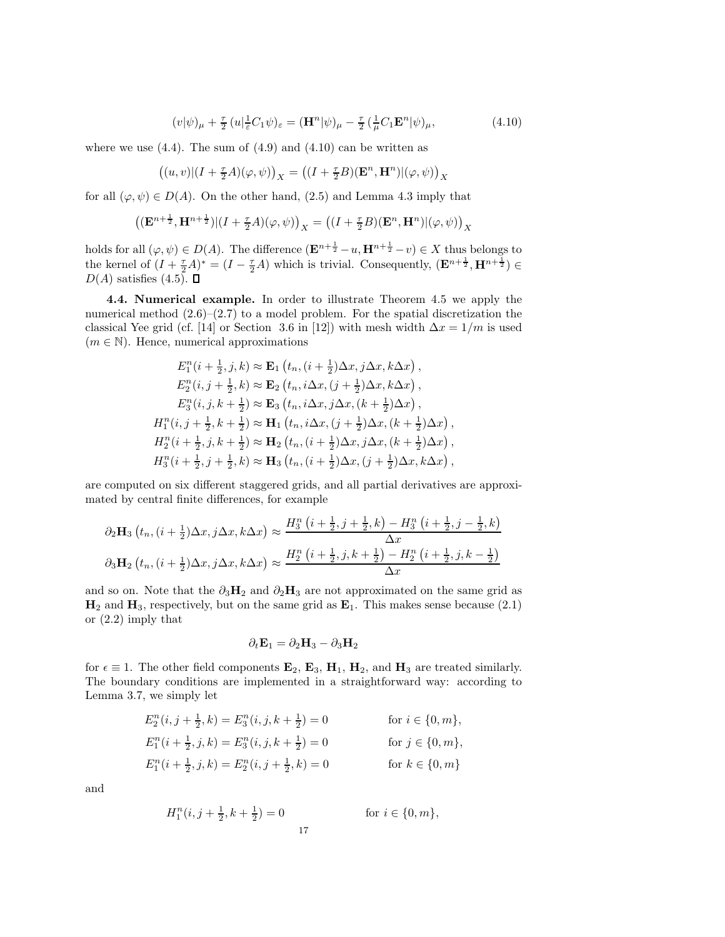$$
(v|\psi)_{\mu} + \frac{\tau}{2} (u|\frac{1}{\varepsilon}C_1\psi)_{\varepsilon} = (\mathbf{H}^n|\psi)_{\mu} - \frac{\tau}{2} (\frac{1}{\mu}C_1\mathbf{E}^n|\psi)_{\mu}, \tag{4.10}
$$

where we use  $(4.4)$ . The sum of  $(4.9)$  and  $(4.10)$  can be written as

$$
\big((u,v)|(I+\tfrac{\tau}{2}A)(\varphi,\psi)\big)_X=\big((I+\tfrac{\tau}{2}B)(\mathbf{E}^n,\mathbf{H}^n)|(\varphi,\psi)\big)_X
$$

for all  $(\varphi, \psi) \in D(A)$ . On the other hand, (2.5) and Lemma 4.3 imply that

$$
\left((\mathbf{E}^{n+\frac{1}{2}},\mathbf{H}^{n+\frac{1}{2}})|(I+\tfrac{\tau}{2}A)(\varphi,\psi)\right)_X=\left((I+\tfrac{\tau}{2}B)(\mathbf{E}^n,\mathbf{H}^n)|(\varphi,\psi)\right)_X
$$

holds for all  $(\varphi, \psi) \in D(A)$ . The difference  $(\mathbf{E}^{n+\frac{1}{2}}-u, \mathbf{H}^{n+\frac{1}{2}}-v) \in X$  thus belongs to the kernel of  $(I + \frac{\tau}{2}A)^* = (I - \frac{\tau}{2}A)$  which is trivial. Consequently,  $(\mathbf{E}^{n+\frac{1}{2}}, \mathbf{H}^{n+\frac{1}{2}}) \in$  $D(A)$  satisfies  $(4.5)$ .  $\square$ 

4.4. Numerical example. In order to illustrate Theorem 4.5 we apply the numerical method  $(2.6)$ – $(2.7)$  to a model problem. For the spatial discretization the classical Yee grid (cf. [14] or Section 3.6 in [12]) with mesh width  $\Delta x = 1/m$  is used  $(m \in \mathbb{N})$ . Hence, numerical approximations

$$
E_1^n(i + \frac{1}{2}, j, k) \approx \mathbf{E}_1(t_n, (i + \frac{1}{2})\Delta x, j\Delta x, k\Delta x),
$$
  
\n
$$
E_2^n(i, j + \frac{1}{2}, k) \approx \mathbf{E}_2(t_n, i\Delta x, (j + \frac{1}{2})\Delta x, k\Delta x),
$$
  
\n
$$
E_3^n(i, j, k + \frac{1}{2}) \approx \mathbf{E}_3(t_n, i\Delta x, j\Delta x, (k + \frac{1}{2})\Delta x),
$$
  
\n
$$
H_1^n(i, j + \frac{1}{2}, k + \frac{1}{2}) \approx \mathbf{H}_1(t_n, i\Delta x, (j + \frac{1}{2})\Delta x, (k + \frac{1}{2})\Delta x),
$$
  
\n
$$
H_2^n(i + \frac{1}{2}, j, k + \frac{1}{2}) \approx \mathbf{H}_2(t_n, (i + \frac{1}{2})\Delta x, j\Delta x, (k + \frac{1}{2})\Delta x),
$$
  
\n
$$
H_3^n(i + \frac{1}{2}, j + \frac{1}{2}, k) \approx \mathbf{H}_3(t_n, (i + \frac{1}{2})\Delta x, (j + \frac{1}{2})\Delta x, k\Delta x),
$$

are computed on six different staggered grids, and all partial derivatives are approximated by central finite differences, for example

$$
\partial_2 \mathbf{H}_3 \left( t_n, (i + \frac{1}{2}) \Delta x, j \Delta x, k \Delta x \right) \approx \frac{H_3^n \left( i + \frac{1}{2}, j + \frac{1}{2}, k \right) - H_3^n \left( i + \frac{1}{2}, j - \frac{1}{2}, k \right)}{\Delta x}
$$
  

$$
\partial_3 \mathbf{H}_2 \left( t_n, (i + \frac{1}{2}) \Delta x, j \Delta x, k \Delta x \right) \approx \frac{H_2^n \left( i + \frac{1}{2}, j, k + \frac{1}{2} \right) - H_2^n \left( i + \frac{1}{2}, j, k - \frac{1}{2} \right)}{\Delta x}
$$

and so on. Note that the  $\partial_3H_2$  and  $\partial_2H_3$  are not approximated on the same grid as  $\mathbf{H}_2$  and  $\mathbf{H}_3$ , respectively, but on the same grid as  $\mathbf{E}_1$ . This makes sense because (2.1) or (2.2) imply that

$$
\partial_t \mathbf{E}_1 = \partial_2 \mathbf{H}_3 - \partial_3 \mathbf{H}_2
$$

for  $\epsilon \equiv 1$ . The other field components  $\mathbf{E}_2$ ,  $\mathbf{E}_3$ ,  $\mathbf{H}_1$ ,  $\mathbf{H}_2$ , and  $\mathbf{H}_3$  are treated similarly. The boundary conditions are implemented in a straightforward way: according to Lemma 3.7, we simply let

$$
E_2^n(i, j + \frac{1}{2}, k) = E_3^n(i, j, k + \frac{1}{2}) = 0 \quad \text{for } i \in \{0, m\},
$$
  
\n
$$
E_1^n(i + \frac{1}{2}, j, k) = E_3^n(i, j, k + \frac{1}{2}) = 0 \quad \text{for } j \in \{0, m\},
$$
  
\n
$$
E_1^n(i + \frac{1}{2}, j, k) = E_2^n(i, j + \frac{1}{2}, k) = 0 \quad \text{for } k \in \{0, m\}
$$

and

$$
H_1^n(i, j + \frac{1}{2}, k + \frac{1}{2}) = 0
$$
 for  $i \in \{0, m\},$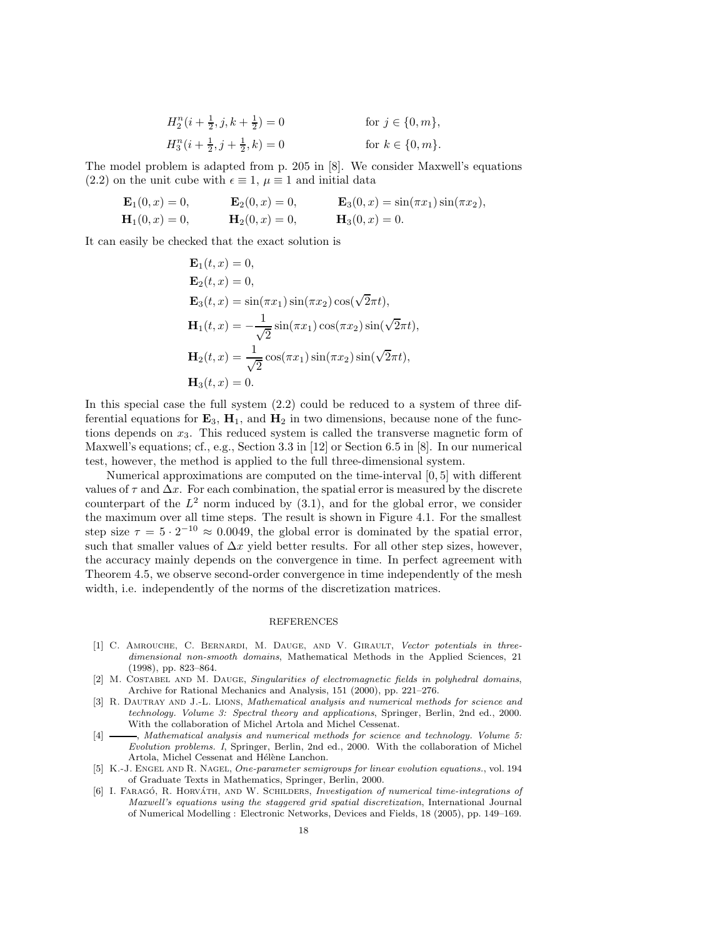$$
H_2^n(i + \frac{1}{2}, j, k + \frac{1}{2}) = 0
$$
 for  $j \in \{0, m\}$ ,  

$$
H_3^n(i + \frac{1}{2}, j + \frac{1}{2}, k) = 0
$$
 for  $k \in \{0, m\}$ .

The model problem is adapted from p. 205 in [8]. We consider Maxwell's equations (2.2) on the unit cube with  $\epsilon \equiv 1$ ,  $\mu \equiv 1$  and initial data

$$
\mathbf{E}_1(0,x) = 0, \qquad \mathbf{E}_2(0,x) = 0, \qquad \mathbf{E}_3(0,x) = \sin(\pi x_1)\sin(\pi x_2), \n\mathbf{H}_1(0,x) = 0, \qquad \mathbf{H}_2(0,x) = 0, \qquad \mathbf{H}_3(0,x) = 0.
$$

It can easily be checked that the exact solution is

$$
\mathbf{E}_1(t, x) = 0,
$$
  
\n
$$
\mathbf{E}_2(t, x) = 0,
$$
  
\n
$$
\mathbf{E}_3(t, x) = \sin(\pi x_1) \sin(\pi x_2) \cos(\sqrt{2}\pi t),
$$
  
\n
$$
\mathbf{H}_1(t, x) = -\frac{1}{\sqrt{2}} \sin(\pi x_1) \cos(\pi x_2) \sin(\sqrt{2}\pi t),
$$
  
\n
$$
\mathbf{H}_2(t, x) = \frac{1}{\sqrt{2}} \cos(\pi x_1) \sin(\pi x_2) \sin(\sqrt{2}\pi t),
$$
  
\n
$$
\mathbf{H}_3(t, x) = 0.
$$

In this special case the full system (2.2) could be reduced to a system of three differential equations for  $\mathbf{E}_3$ ,  $\mathbf{H}_1$ , and  $\mathbf{H}_2$  in two dimensions, because none of the functions depends on  $x_3$ . This reduced system is called the transverse magnetic form of Maxwell's equations; cf., e.g., Section 3.3 in [12] or Section 6.5 in [8]. In our numerical test, however, the method is applied to the full three-dimensional system.

Numerical approximations are computed on the time-interval [0, 5] with different values of  $\tau$  and  $\Delta x$ . For each combination, the spatial error is measured by the discrete counterpart of the  $L^2$  norm induced by  $(3.1)$ , and for the global error, we consider the maximum over all time steps. The result is shown in Figure 4.1. For the smallest step size  $\tau = 5 \cdot 2^{-10} \approx 0.0049$ , the global error is dominated by the spatial error, such that smaller values of  $\Delta x$  yield better results. For all other step sizes, however, the accuracy mainly depends on the convergence in time. In perfect agreement with Theorem 4.5, we observe second-order convergence in time independently of the mesh width, i.e. independently of the norms of the discretization matrices.

## REFERENCES

- [1] C. Amrouche, C. Bernardi, M. Dauge, and V. Girault, Vector potentials in threedimensional non-smooth domains, Mathematical Methods in the Applied Sciences, 21 (1998), pp. 823–864.
- [2] M. COSTABEL AND M. DAUGE, Singularities of electromagnetic fields in polyhedral domains, Archive for Rational Mechanics and Analysis, 151 (2000), pp. 221–276.
- [3] R. Dautray and J.-L. Lions, Mathematical analysis and numerical methods for science and technology. Volume 3: Spectral theory and applications, Springer, Berlin, 2nd ed., 2000. With the collaboration of Michel Artola and Michel Cessenat.
- [4]  $\longrightarrow$ , Mathematical analysis and numerical methods for science and technology. Volume 5: Evolution problems. I, Springer, Berlin, 2nd ed., 2000. With the collaboration of Michel Artola, Michel Cessenat and Hélène Lanchon.
- [5] K.-J. ENGEL AND R. NAGEL, One-parameter semigroups for linear evolution equations., vol. 194 of Graduate Texts in Mathematics, Springer, Berlin, 2000.
- [6] I. FARAGÓ, R. HORVÁTH, AND W. SCHILDERS, Investigation of numerical time-integrations of Maxwell's equations using the staggered grid spatial discretization, International Journal of Numerical Modelling : Electronic Networks, Devices and Fields, 18 (2005), pp. 149–169.